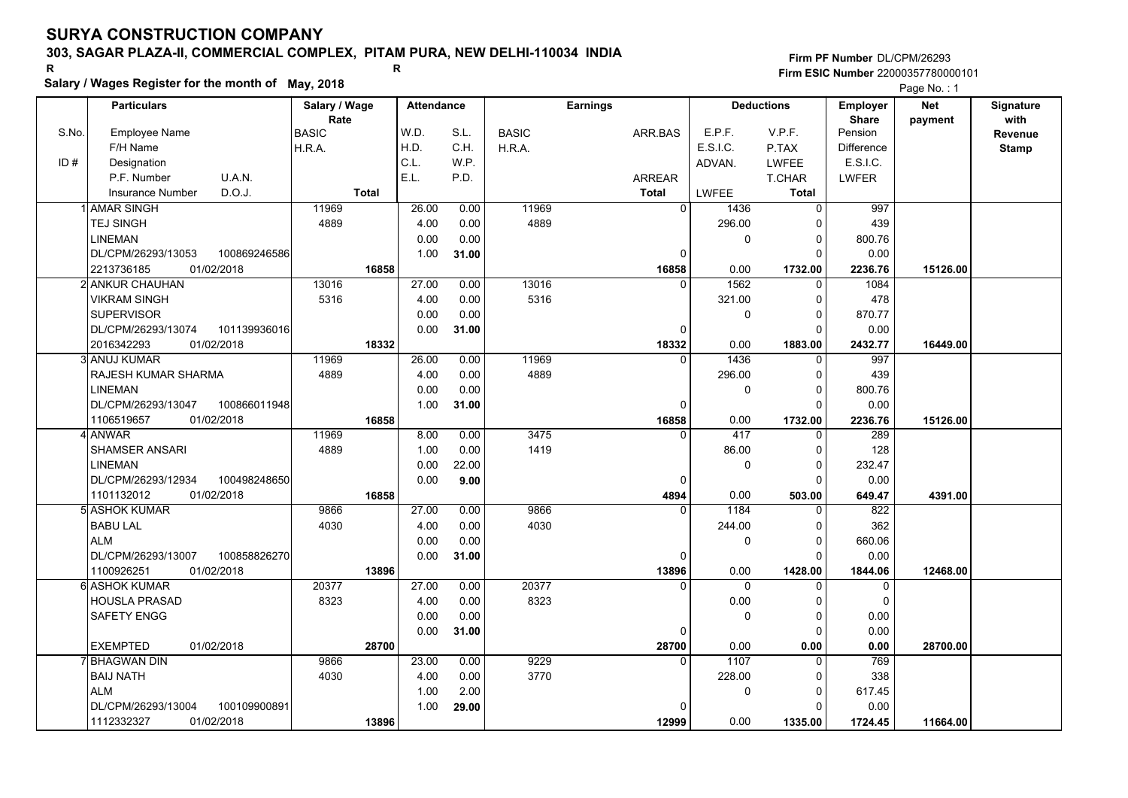# **303, SAGAR PLAZA-II, COMMERCIAL COMPLEX, PITAM PURA, NEW DELHI-110034 INDIA**

**Salary / Wages Register for the month of May, 2018 <sup>R</sup> <sup>R</sup>**

**Firm PF Number**DL/CPM/26293**Firm ESIC Number** 22000357780000101

|       | Salary / Wages Register for the month of May, 2018 |                       |       |                   |       |              |                 |              |              |                   |                                 | Page No.: 1           |                          |
|-------|----------------------------------------------------|-----------------------|-------|-------------------|-------|--------------|-----------------|--------------|--------------|-------------------|---------------------------------|-----------------------|--------------------------|
|       | <b>Particulars</b>                                 | Salary / Wage<br>Rate |       | <b>Attendance</b> |       |              | <b>Earnings</b> |              |              | <b>Deductions</b> | <b>Employer</b><br><b>Share</b> | <b>Net</b><br>payment | <b>Signature</b><br>with |
| S.No. | <b>Employee Name</b>                               | <b>BASIC</b>          |       | W.D.              | S.L.  | <b>BASIC</b> |                 | ARR.BAS      | E.P.F.       | V.P.F.            | Pension                         |                       | Revenue                  |
|       | F/H Name                                           | H.R.A.                |       | H.D.              | C.H.  | H.R.A.       |                 |              | E.S.I.C.     | P.TAX             | <b>Difference</b>               |                       | <b>Stamp</b>             |
| ID#   | Designation                                        |                       |       | C.L.              | W.P.  |              |                 |              | ADVAN.       | <b>LWFEE</b>      | E.S.I.C.                        |                       |                          |
|       | P.F. Number<br>U.A.N.                              |                       |       | E.L.              | P.D.  |              |                 | ARREAR       |              | T.CHAR            | <b>LWFER</b>                    |                       |                          |
|       | D.O.J.<br><b>Insurance Number</b>                  | <b>Total</b>          |       |                   |       |              |                 | Total        | <b>LWFEE</b> | <b>Total</b>      |                                 |                       |                          |
|       | 1 AMAR SINGH                                       | 11969                 |       | 26.00             | 0.00  | 11969        |                 | $\mathbf 0$  | 1436         | $\overline{0}$    | 997                             |                       |                          |
|       | <b>TEJ SINGH</b>                                   | 4889                  |       | 4.00              | 0.00  | 4889         |                 |              | 296.00       | $\Omega$          | 439                             |                       |                          |
|       | LINEMAN                                            |                       |       | 0.00              | 0.00  |              |                 |              | $\mathbf 0$  | $\mathbf 0$       | 800.76                          |                       |                          |
|       | 100869246586<br>DL/CPM/26293/13053                 |                       |       | 1.00              | 31.00 |              |                 | $\Omega$     |              | $\Omega$          | 0.00                            |                       |                          |
|       | 2213736185<br>01/02/2018                           |                       | 16858 |                   |       |              |                 | 16858        | 0.00         | 1732.00           | 2236.76                         | 15126.00              |                          |
|       | 2 ANKUR CHAUHAN                                    | 13016                 |       | 27.00             | 0.00  | 13016        |                 | $\Omega$     | 1562         | $\Omega$          | 1084                            |                       |                          |
|       | <b>VIKRAM SINGH</b>                                | 5316                  |       | 4.00              | 0.00  | 5316         |                 |              | 321.00       | $\mathbf 0$       | 478                             |                       |                          |
|       | <b>SUPERVISOR</b>                                  |                       |       | 0.00              | 0.00  |              |                 |              | 0            | $\mathbf 0$       | 870.77                          |                       |                          |
|       | DL/CPM/26293/13074<br>101139936016                 |                       |       | 0.00              | 31.00 |              |                 | 0            |              | $\Omega$          | 0.00                            |                       |                          |
|       | 2016342293<br>01/02/2018                           |                       | 18332 |                   |       |              |                 | 18332        | 0.00         | 1883.00           | 2432.77                         | 16449.00              |                          |
|       | <b>ANUJ KUMAR</b>                                  | 11969                 |       | 26.00             | 0.00  | 11969        |                 | $\mathbf{0}$ | 1436         | 0                 | 997                             |                       |                          |
|       | RAJESH KUMAR SHARMA                                | 4889                  |       | 4.00              | 0.00  | 4889         |                 |              | 296.00       | 0                 | 439                             |                       |                          |
|       | LINEMAN                                            |                       |       | 0.00              | 0.00  |              |                 |              | $\mathbf 0$  | $\mathbf 0$       | 800.76                          |                       |                          |
|       | DL/CPM/26293/13047<br>100866011948                 |                       |       | 1.00              | 31.00 |              |                 | $\Omega$     |              | $\Omega$          | 0.00                            |                       |                          |
|       | 01/02/2018<br>1106519657                           |                       | 16858 |                   |       |              |                 | 16858        | 0.00         | 1732.00           | 2236.76                         | 15126.00              |                          |
|       | <b>ANWAR</b>                                       | 11969                 |       | 8.00              | 0.00  | 3475         |                 | $\Omega$     | 417          | $\Omega$          | 289                             |                       |                          |
|       | <b>SHAMSER ANSARI</b>                              | 4889                  |       | 1.00              | 0.00  | 1419         |                 |              | 86.00        | $\Omega$          | 128                             |                       |                          |
|       | LINEMAN                                            |                       |       | 0.00              | 22.00 |              |                 |              | $\mathbf 0$  | $\mathbf 0$       | 232.47                          |                       |                          |
|       | DL/CPM/26293/12934<br>100498248650                 |                       |       | 0.00              | 9.00  |              |                 | 0            |              | $\Omega$          | 0.00                            |                       |                          |
|       | 01/02/2018<br>1101132012                           |                       | 16858 |                   |       |              |                 | 4894         | 0.00         | 503.00            | 649.47                          | 4391.00               |                          |
|       | <b>ASHOK KUMAR</b>                                 | 9866                  |       | 27.00             | 0.00  | 9866         |                 |              | 1184         | $\Omega$          | 822                             |                       |                          |
|       | <b>BABU LAL</b>                                    | 4030                  |       | 4.00              | 0.00  | 4030         |                 |              | 244.00       | $\mathbf 0$       | 362                             |                       |                          |
|       | <b>ALM</b>                                         |                       |       | 0.00              | 0.00  |              |                 |              | 0            | $\mathbf 0$       | 660.06                          |                       |                          |
|       | DL/CPM/26293/13007<br>100858826270                 |                       |       | 0.00              | 31.00 |              |                 | 0            |              | $\Omega$          | 0.00                            |                       |                          |
|       | 1100926251<br>01/02/2018                           |                       | 13896 |                   |       |              |                 | 13896        | 0.00         | 1428.00           | 1844.06                         | 12468.00              |                          |
| 61    | <b>ASHOK KUMAR</b>                                 | 20377                 |       | 27.00             | 0.00  | 20377        |                 | $\Omega$     | $\mathbf 0$  | $\mathbf 0$       | 0                               |                       |                          |
|       | HOUSLA PRASAD                                      | 8323                  |       | 4.00              | 0.00  | 8323         |                 |              | 0.00         | 0                 | $\Omega$                        |                       |                          |
|       | <b>SAFETY ENGG</b>                                 |                       |       | 0.00              | 0.00  |              |                 |              | $\Omega$     | $\mathbf 0$       | 0.00                            |                       |                          |
|       |                                                    |                       |       | 0.00              | 31.00 |              |                 | $\Omega$     |              | 0                 | 0.00                            |                       |                          |
|       | <b>EXEMPTED</b><br>01/02/2018                      |                       | 28700 |                   |       |              |                 | 28700        | 0.00         | 0.00              | 0.00                            | 28700.00              |                          |
|       | <b>BHAGWAN DIN</b>                                 | 9866                  |       | 23.00             | 0.00  | 9229         |                 | $\Omega$     | 1107         | $\overline{0}$    | 769                             |                       |                          |
|       | <b>BAIJ NATH</b>                                   | 4030                  |       | 4.00              | 0.00  | 3770         |                 |              | 228.00       | $\Omega$          | 338                             |                       |                          |
|       | ALM                                                |                       |       | 1.00              | 2.00  |              |                 |              | 0            | 0                 | 617.45                          |                       |                          |
|       | DL/CPM/26293/13004<br>100109900891                 |                       |       | 1.00              | 29.00 |              |                 |              |              | 0                 | 0.00                            |                       |                          |
|       | 1112332327<br>01/02/2018                           |                       | 13896 |                   |       |              |                 | 12999        | 0.00         | 1335.00           | 1724.45                         | 11664.00              |                          |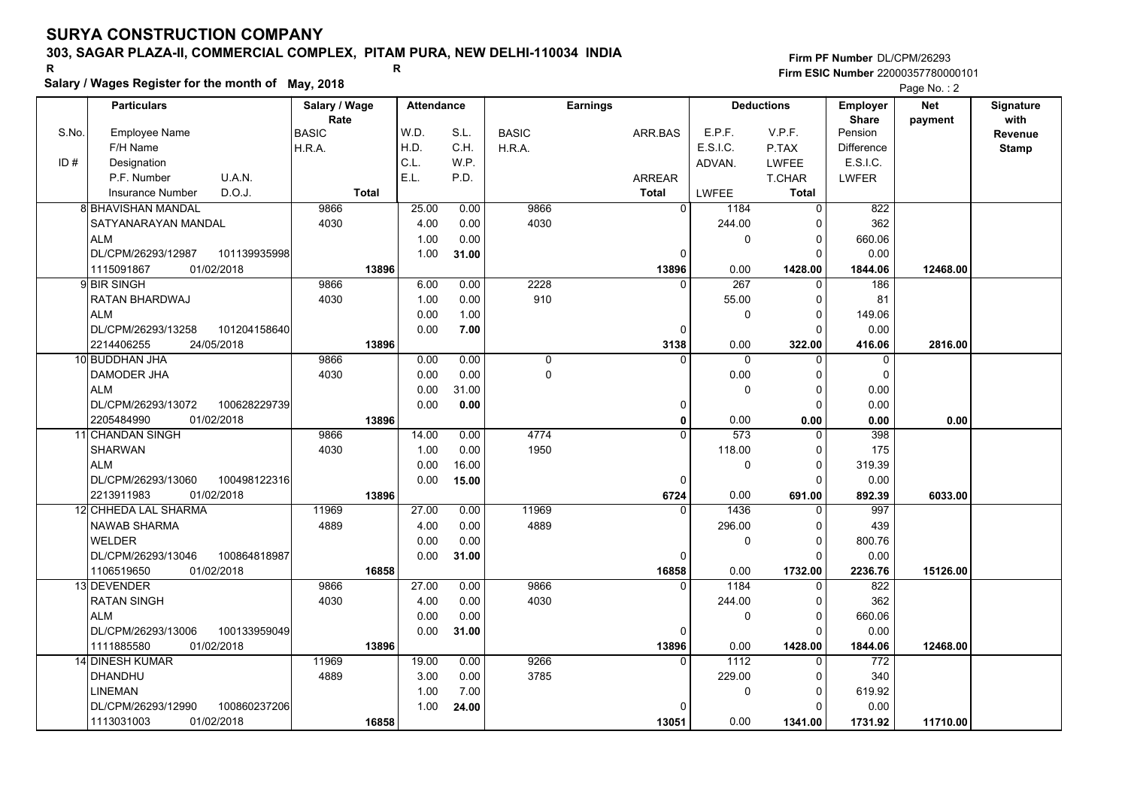# **303, SAGAR PLAZA-II, COMMERCIAL COMPLEX, PITAM PURA, NEW DELHI-110034 INDIA**

**Salary / Wages Register for the month of May, 2018 <sup>R</sup> <sup>R</sup>**

### **Firm PF Number**DL/CPM/26293**Firm ESIC Number** 22000357780000101

|       | <b>Particulars</b>                 | Salary / Wage        | <b>Attendance</b> |       |              | <b>Earnings</b> |                  | <b>Deductions</b> | Employer                | <b>Net</b> | Signature       |
|-------|------------------------------------|----------------------|-------------------|-------|--------------|-----------------|------------------|-------------------|-------------------------|------------|-----------------|
| S.No. | Employee Name                      | Rate<br><b>BASIC</b> | W.D.              | S.L.  | <b>BASIC</b> | ARR.BAS         | E.P.F.           | V.P.F.            | <b>Share</b><br>Pension | payment    | with<br>Revenue |
|       | F/H Name                           | H.R.A.               | H.D.              | C.H.  | H.R.A.       |                 | E.S.I.C.         | P.TAX             | <b>Difference</b>       |            | <b>Stamp</b>    |
| ID#   | Designation                        |                      | C.L.              | W.P.  |              |                 | ADVAN.           | <b>LWFEE</b>      | E.S.I.C.                |            |                 |
|       | U.A.N.<br>P.F. Number              |                      | E.L.              | P.D.  |              | <b>ARREAR</b>   |                  | T.CHAR            | <b>LWFER</b>            |            |                 |
|       | D.O.J.<br><b>Insurance Number</b>  | <b>Total</b>         |                   |       |              | <b>Total</b>    | <b>LWFEE</b>     | Total             |                         |            |                 |
|       | 8 BHAVISHAN MANDAL                 | 9866                 | 25.00             | 0.00  | 9866         | $\mathbf 0$     | 1184             | 0                 | 822                     |            |                 |
|       | SATYANARAYAN MANDAL                | 4030                 | 4.00              | 0.00  | 4030         |                 | 244.00           | O                 | 362                     |            |                 |
|       | <b>ALM</b>                         |                      | 1.00              | 0.00  |              |                 | $\mathbf 0$      | $\Omega$          | 660.06                  |            |                 |
|       | DL/CPM/26293/12987<br>101139935998 |                      | 1.00              | 31.00 |              | $\Omega$        |                  | $\Omega$          | 0.00                    |            |                 |
|       | 1115091867<br>01/02/2018           | 13896                |                   |       |              | 13896           | 0.00             | 1428.00           | 1844.06                 | 12468.00   |                 |
|       | 9 BIR SINGH                        | 9866                 | 6.00              | 0.00  | 2228         | O               | 267              | 0                 | 186                     |            |                 |
|       | RATAN BHARDWAJ                     | 4030                 | 1.00              | 0.00  | 910          |                 | 55.00            | 0                 | 81                      |            |                 |
|       | <b>ALM</b>                         |                      | 0.00              | 1.00  |              |                 | 0                | $\Omega$          | 149.06                  |            |                 |
|       | DL/CPM/26293/13258<br>101204158640 |                      | 0.00              | 7.00  |              | $\Omega$        |                  | $\Omega$          | 0.00                    |            |                 |
|       | 2214406255<br>24/05/2018           | 13896                |                   |       |              | 3138            | 0.00             | 322.00            | 416.06                  | 2816.00    |                 |
|       | 10 BUDDHAN JHA                     | 9866                 | 0.00              | 0.00  | 0            | $\Omega$        | $\mathbf 0$      | $\Omega$          | 0                       |            |                 |
|       | <b>DAMODER JHA</b>                 | 4030                 | 0.00              | 0.00  | $\mathbf{0}$ |                 | 0.00             | $\Omega$          | $\Omega$                |            |                 |
|       | <b>ALM</b>                         |                      | 0.00              | 31.00 |              |                 | 0                | $\Omega$          | 0.00                    |            |                 |
|       | DL/CPM/26293/13072<br>100628229739 |                      | 0.00              | 0.00  |              | 0               |                  | $\Omega$          | 0.00                    |            |                 |
|       | 2205484990<br>01/02/2018           | 13896                |                   |       |              | 0               | 0.00             | 0.00              | 0.00                    | 0.00       |                 |
|       | 11 CHANDAN SINGH                   | 9866                 | 14.00             | 0.00  | 4774         |                 | $\overline{573}$ | $\Omega$          | 398                     |            |                 |
|       | <b>SHARWAN</b>                     | 4030                 | 1.00              | 0.00  | 1950         |                 | 118.00           | $\Omega$          | 175                     |            |                 |
|       | <b>ALM</b>                         |                      | 0.00              | 16.00 |              |                 | $\mathbf 0$      | $\Omega$          | 319.39                  |            |                 |
|       | DL/CPM/26293/13060<br>100498122316 |                      | 0.00              | 15.00 |              | $\Omega$        |                  | $\Omega$          | 0.00                    |            |                 |
|       | 01/02/2018<br>2213911983           | 13896                |                   |       |              | 6724            | 0.00             | 691.00            | 892.39                  | 6033.00    |                 |
|       | 12 CHHEDA LAL SHARMA               | 11969                | 27.00             | 0.00  | 11969        | $\Omega$        | 1436             |                   | 997                     |            |                 |
|       | <b>NAWAB SHARMA</b>                | 4889                 | 4.00              | 0.00  | 4889         |                 | 296.00           | $\Omega$          | 439                     |            |                 |
|       | <b>WELDER</b>                      |                      | 0.00              | 0.00  |              |                 | 0                | 0                 | 800.76                  |            |                 |
|       | DL/CPM/26293/13046<br>100864818987 |                      | 0.00              | 31.00 |              | $\Omega$        |                  | $\Omega$          | 0.00                    |            |                 |
|       | 1106519650<br>01/02/2018           | 16858                |                   |       |              | 16858           | 0.00             | 1732.00           | 2236.76                 | 15126.00   |                 |
|       | 13 DEVENDER                        | 9866                 | 27.00             | 0.00  | 9866         | $\Omega$        | 1184             | $\Omega$          | 822                     |            |                 |
|       | <b>RATAN SINGH</b>                 | 4030                 | 4.00              | 0.00  | 4030         |                 | 244.00           | $\Omega$          | 362                     |            |                 |
|       | <b>ALM</b>                         |                      | 0.00              | 0.00  |              |                 | 0                | 0                 | 660.06                  |            |                 |
|       | DL/CPM/26293/13006<br>100133959049 |                      | 0.00              | 31.00 |              | 0               |                  | $\Omega$          | 0.00                    |            |                 |
|       | 1111885580<br>01/02/2018           | 13896                |                   |       |              | 13896           | 0.00             | 1428.00           | 1844.06                 | 12468.00   |                 |
|       | <b>14 DINESH KUMAR</b>             | 11969                | 19.00             | 0.00  | 9266         | $\Omega$        | 1112             | $\Omega$          | 772                     |            |                 |
|       | DHANDHU                            | 4889                 | 3.00              | 0.00  | 3785         |                 | 229.00           | $\Omega$          | 340                     |            |                 |
|       | <b>LINEMAN</b>                     |                      | 1.00              | 7.00  |              |                 | $\pmb{0}$        | 0                 | 619.92                  |            |                 |
|       | DL/CPM/26293/12990<br>100860237206 |                      | 1.00              | 24.00 |              |                 |                  | $\Omega$          | 0.00                    |            |                 |
|       | 01/02/2018<br>1113031003           | 16858                |                   |       |              | 13051           | 0.00             | 1341.00           | 1731.92                 | 11710.00   |                 |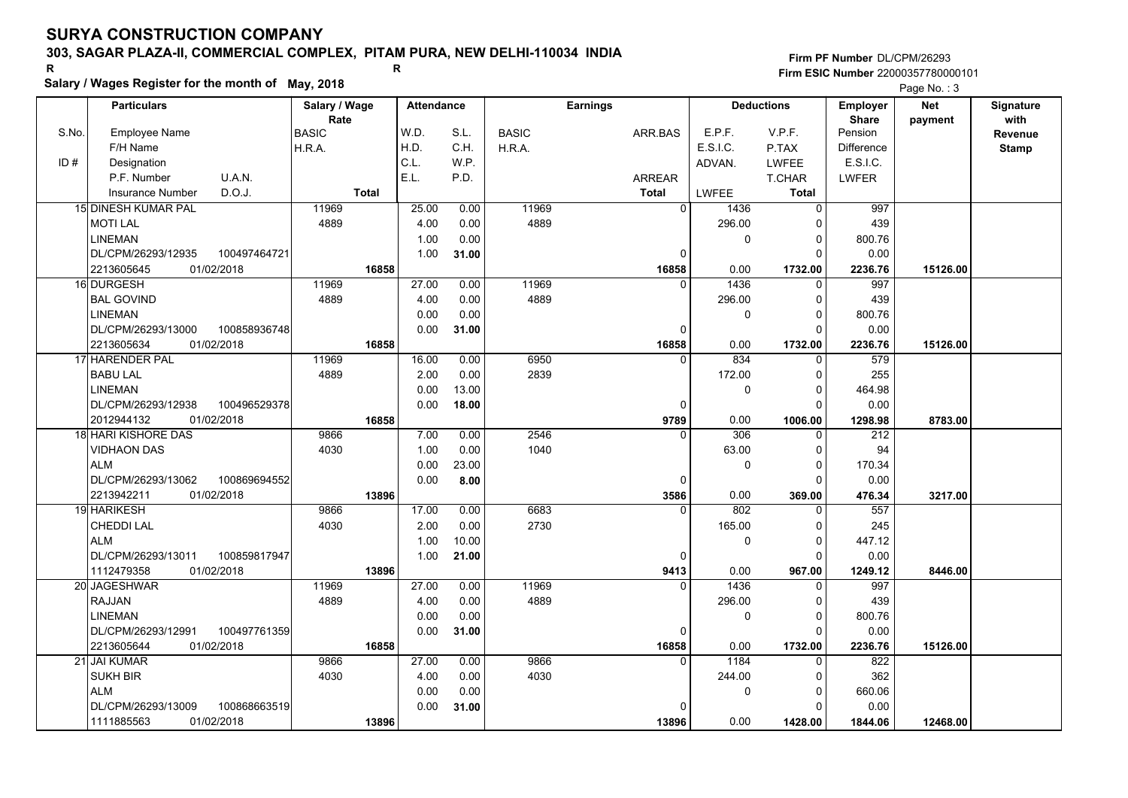# **303, SAGAR PLAZA-II, COMMERCIAL COMPLEX, PITAM PURA, NEW DELHI-110034 INDIA**

**Salary / Wages Register for the month of May, 2018 <sup>R</sup> <sup>R</sup>**

### **Firm PF Number**DL/CPM/26293**Firm ESIC Number** 22000357780000101

|       | <b>Particulars</b>                 | Salary / Wage<br>Rate | <b>Attendance</b> |       |              | <b>Earnings</b> |                        | <b>Deductions</b> | Employer<br><b>Share</b> | <b>Net</b> | Signature<br>with |
|-------|------------------------------------|-----------------------|-------------------|-------|--------------|-----------------|------------------------|-------------------|--------------------------|------------|-------------------|
| S.No. | <b>Employee Name</b>               | <b>BASIC</b>          | W.D.              | S.L.  | <b>BASIC</b> | ARR.BAS         | E.P.F.                 | V.P.F.            | Pension                  | payment    | Revenue           |
|       | F/H Name                           | H.R.A.                | H.D.              | C.H.  | H.R.A.       |                 | E.S.I.C.               | P.TAX             | <b>Difference</b>        |            | <b>Stamp</b>      |
| ID#   | Designation                        |                       | C.L.              | W.P.  |              |                 | ADVAN.                 | LWFEE             | E.S.I.C.                 |            |                   |
|       | U.A.N.<br>P.F. Number              |                       | E.L.              | P.D.  |              | <b>ARREAR</b>   |                        | <b>T.CHAR</b>     | <b>LWFER</b>             |            |                   |
|       | D.O.J.<br><b>Insurance Number</b>  | <b>Total</b>          |                   |       |              | <b>Total</b>    | <b>LWFEE</b>           | <b>Total</b>      |                          |            |                   |
|       | 15 DINESH KUMAR PAL                | 11969                 | 25.00             | 0.00  | 11969        |                 | $\overline{0}$<br>1436 | $\mathbf 0$       | 997                      |            |                   |
|       | <b>MOTI LAL</b>                    | 4889                  | 4.00              | 0.00  | 4889         |                 | 296.00                 | $\Omega$          | 439                      |            |                   |
|       | <b>LINEMAN</b>                     |                       | 1.00              | 0.00  |              |                 | 0                      | $\mathbf 0$       | 800.76                   |            |                   |
|       | DL/CPM/26293/12935<br>100497464721 |                       | 1.00              | 31.00 |              |                 | $\Omega$               | $\Omega$          | 0.00                     |            |                   |
|       | 01/02/2018<br>2213605645           | 16858                 |                   |       |              | 16858           | 0.00                   | 1732.00           | 2236.76                  | 15126.00   |                   |
|       | 16 DURGESH                         | 11969                 | 27.00             | 0.00  | 11969        |                 | 1436<br>$\Omega$       | $\mathbf 0$       | 997                      |            |                   |
|       | <b>BAL GOVIND</b>                  | 4889                  | 4.00              | 0.00  | 4889         |                 | 296.00                 | $\Omega$          | 439                      |            |                   |
|       | <b>LINEMAN</b>                     |                       | 0.00              | 0.00  |              |                 | 0                      | $\Omega$          | 800.76                   |            |                   |
|       | DL/CPM/26293/13000<br>100858936748 |                       | 0.00              | 31.00 |              |                 | 0                      | $\Omega$          | 0.00                     |            |                   |
|       | 2213605634<br>01/02/2018           | 16858                 |                   |       |              | 16858           | 0.00                   | 1732.00           | 2236.76                  | 15126.00   |                   |
|       | 17 HARENDER PAL                    | 11969                 | 16.00             | 0.00  | 6950         |                 | 834<br>$\Omega$        | $\Omega$          | 579                      |            |                   |
|       | <b>BABU LAL</b>                    | 4889                  | 2.00              | 0.00  | 2839         |                 | 172.00                 | $\Omega$          | 255                      |            |                   |
|       | <b>LINEMAN</b>                     |                       | 0.00              | 13.00 |              |                 | 0                      | $\Omega$          | 464.98                   |            |                   |
|       | DL/CPM/26293/12938<br>100496529378 |                       | 0.00              | 18.00 |              |                 | $\Omega$               | $\Omega$          | 0.00                     |            |                   |
|       | 2012944132<br>01/02/2018           | 16858                 |                   |       |              | 9789            | 0.00                   | 1006.00           | 1298.98                  | 8783.00    |                   |
|       | 18 HARI KISHORE DAS                | 9866                  | 7.00              | 0.00  | 2546         |                 | 306<br>$\Omega$        | 0                 | 212                      |            |                   |
|       | <b>VIDHAON DAS</b>                 | 4030                  | 1.00              | 0.00  | 1040         |                 | 63.00                  | $\mathbf 0$       | 94                       |            |                   |
|       | <b>ALM</b>                         |                       | 0.00              | 23.00 |              |                 | 0                      | $\Omega$          | 170.34                   |            |                   |
|       | DL/CPM/26293/13062<br>100869694552 |                       | 0.00              | 8.00  |              |                 | 0                      | $\Omega$          | 0.00                     |            |                   |
|       | 2213942211<br>01/02/2018           | 13896                 |                   |       |              | 3586            | 0.00                   | 369.00            | 476.34                   | 3217.00    |                   |
|       | 19 HARIKESH                        | 9866                  | 17.00             | 0.00  | 6683         |                 | 802<br>$\overline{0}$  | $\Omega$          | 557                      |            |                   |
|       | <b>CHEDDI LAL</b>                  | 4030                  | 2.00              | 0.00  | 2730         |                 | 165.00                 | $\Omega$          | 245                      |            |                   |
|       | <b>ALM</b>                         |                       | 1.00              | 10.00 |              |                 | 0                      | $\mathbf 0$       | 447.12                   |            |                   |
|       | DL/CPM/26293/13011<br>100859817947 |                       | 1.00              | 21.00 |              |                 | 0                      | $\Omega$          | 0.00                     |            |                   |
|       | 1112479358<br>01/02/2018           | 13896                 |                   |       |              | 9413            | 0.00                   | 967.00            | 1249.12                  | 8446.00    |                   |
|       | 20 JAGESHWAR                       | 11969                 | 27.00             | 0.00  | 11969        |                 | 1436<br>$\Omega$       | $\Omega$          | 997                      |            |                   |
|       | RAJJAN                             | 4889                  | 4.00              | 0.00  | 4889         |                 | 296.00                 | $\Omega$          | 439                      |            |                   |
|       | <b>LINEMAN</b>                     |                       | 0.00              | 0.00  |              |                 | 0                      | $\mathbf 0$       | 800.76                   |            |                   |
|       | DL/CPM/26293/12991<br>100497761359 |                       | 0.00              | 31.00 |              |                 | $\mathbf 0$            | $\Omega$          | 0.00                     |            |                   |
|       | 2213605644<br>01/02/2018           | 16858                 |                   |       |              | 16858           | 0.00                   | 1732.00           | 2236.76                  | 15126.00   |                   |
|       | 21 JAI KUMAR                       | 9866                  | 27.00             | 0.00  | 9866         |                 | 1184<br>$\Omega$       | 0                 | 822                      |            |                   |
|       | <b>SUKH BIR</b>                    | 4030                  | 4.00              | 0.00  | 4030         |                 | 244.00                 | $\Omega$          | 362                      |            |                   |
|       | <b>ALM</b>                         |                       | 0.00              | 0.00  |              |                 | 0                      | 0                 | 660.06                   |            |                   |
|       | DL/CPM/26293/13009<br>100868663519 |                       | 0.00              | 31.00 |              |                 | $\Omega$               | $\Omega$          | 0.00                     |            |                   |
|       | 01/02/2018<br>1111885563           | 13896                 |                   |       |              | 13896           | 0.00                   | 1428.00           | 1844.06                  | 12468.00   |                   |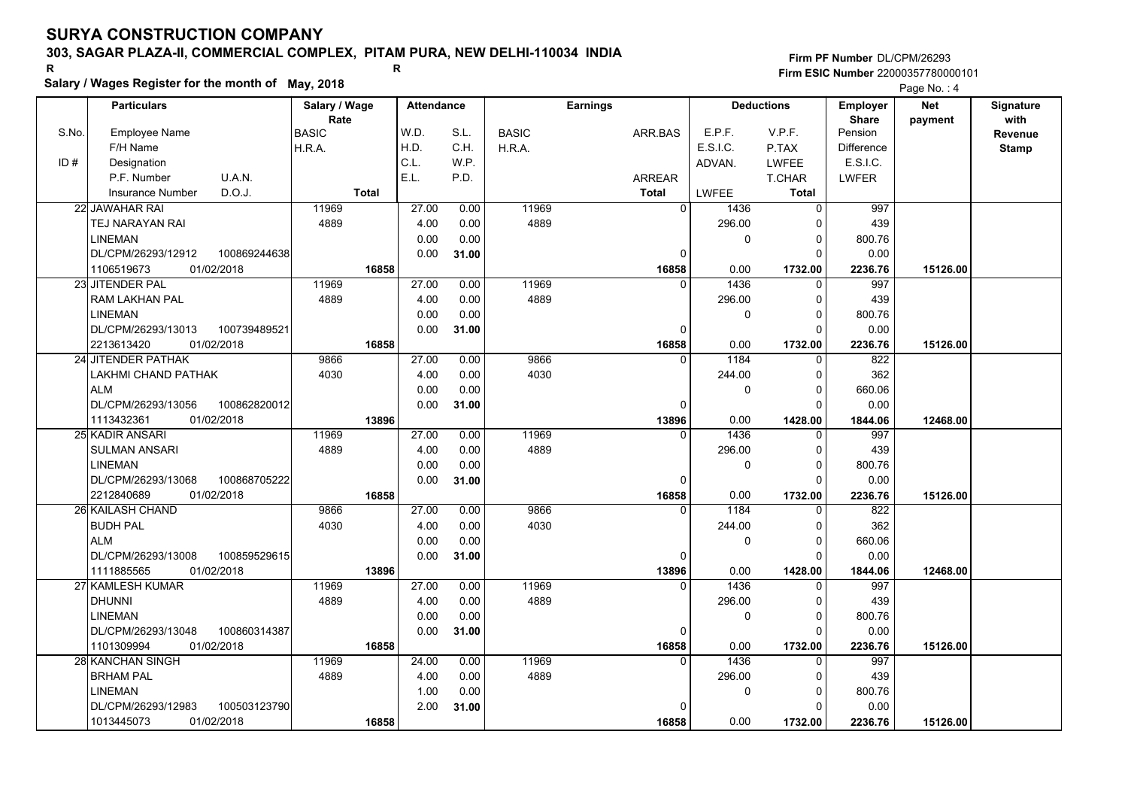# **303, SAGAR PLAZA-II, COMMERCIAL COMPLEX, PITAM PURA, NEW DELHI-110034 INDIA**

**Salary / Wages Register for the month of May, 2018 <sup>R</sup> <sup>R</sup>**

## **Firm PF Number**DL/CPM/26293**Firm ESIC Number** 22000357780000101

|       | <b>Particulars</b>                 | Salary / Wage        | <b>Attendance</b> |       |              | <b>Earnings</b> |              | <b>Deductions</b> | Employer                | <b>Net</b> | Signature<br>with |
|-------|------------------------------------|----------------------|-------------------|-------|--------------|-----------------|--------------|-------------------|-------------------------|------------|-------------------|
| S.No. | Employee Name                      | Rate<br><b>BASIC</b> | W.D.              | S.L.  | <b>BASIC</b> | ARR.BAS         | E.P.F.       | V.P.F.            | <b>Share</b><br>Pension | payment    | Revenue           |
|       | F/H Name                           | H.R.A.               | H.D.              | C.H.  | H.R.A.       |                 | E.S.I.C.     | P.TAX             | <b>Difference</b>       |            | <b>Stamp</b>      |
| ID#   | Designation                        |                      | C.L.              | W.P.  |              |                 | ADVAN.       | <b>LWFEE</b>      | E.S.I.C.                |            |                   |
|       | U.A.N.<br>P.F. Number              |                      | E.L.              | P.D.  |              | <b>ARREAR</b>   |              | T.CHAR            | <b>LWFER</b>            |            |                   |
|       | D.O.J.<br><b>Insurance Number</b>  | <b>Total</b>         |                   |       |              | <b>Total</b>    | <b>LWFEE</b> | Total             |                         |            |                   |
|       | 22 JAWAHAR RAI                     | 11969                | 27.00             | 0.00  | 11969        | $\Omega$        | 1436         | 0                 | 997                     |            |                   |
|       | TEJ NARAYAN RAI                    | 4889                 | 4.00              | 0.00  | 4889         |                 | 296.00       | 0                 | 439                     |            |                   |
|       | <b>LINEMAN</b>                     |                      | 0.00              | 0.00  |              |                 | 0            | $\Omega$          | 800.76                  |            |                   |
|       | DL/CPM/26293/12912<br>100869244638 |                      | 0.00              | 31.00 |              | $\Omega$        |              | $\Omega$          | 0.00                    |            |                   |
|       | 1106519673<br>01/02/2018           | 16858                |                   |       |              | 16858           | 0.00         | 1732.00           | 2236.76                 | 15126.00   |                   |
|       | 23 JITENDER PAL                    | 11969                | 27.00             | 0.00  | 11969        | $\Omega$        | 1436         | $\mathbf 0$       | 997                     |            |                   |
|       | <b>RAM LAKHAN PAL</b>              | 4889                 | 4.00              | 0.00  | 4889         |                 | 296.00       | $\Omega$          | 439                     |            |                   |
|       | <b>LINEMAN</b>                     |                      | 0.00              | 0.00  |              |                 | 0            | $\Omega$          | 800.76                  |            |                   |
|       | DL/CPM/26293/13013<br>100739489521 |                      | 0.00              | 31.00 |              | $\mathbf 0$     |              | $\Omega$          | 0.00                    |            |                   |
|       | 2213613420<br>01/02/2018           | 16858                |                   |       |              | 16858           | 0.00         | 1732.00           | 2236.76                 | 15126.00   |                   |
|       | 24 JITENDER PATHAK                 | 9866                 | 27.00             | 0.00  | 9866         | $\Omega$        | 1184         | 0                 | 822                     |            |                   |
|       | LAKHMI CHAND PATHAK                | 4030                 | 4.00              | 0.00  | 4030         |                 | 244.00       | $\Omega$          | 362                     |            |                   |
|       | <b>ALM</b>                         |                      | 0.00              | 0.00  |              |                 | 0            | $\Omega$          | 660.06                  |            |                   |
|       | DL/CPM/26293/13056<br>100862820012 |                      | 0.00              | 31.00 |              | $\Omega$        |              | $\Omega$          | 0.00                    |            |                   |
|       | 1113432361<br>01/02/2018           | 13896                |                   |       |              | 13896           | 0.00         | 1428.00           | 1844.06                 | 12468.00   |                   |
|       | 25 KADIR ANSARI                    | 11969                | 27.00             | 0.00  | 11969        | $\Omega$        | 1436         | 0                 | 997                     |            |                   |
|       | <b>SULMAN ANSARI</b>               | 4889                 | 4.00              | 0.00  | 4889         |                 | 296.00       | $\Omega$          | 439                     |            |                   |
|       | <b>LINEMAN</b>                     |                      | 0.00              | 0.00  |              |                 | 0            | $\Omega$          | 800.76                  |            |                   |
|       | DL/CPM/26293/13068<br>100868705222 |                      | 0.00              | 31.00 |              | $\Omega$        |              | $\Omega$          | 0.00                    |            |                   |
|       | 2212840689<br>01/02/2018           | 16858                |                   |       |              | 16858           | 0.00         | 1732.00           | 2236.76                 | 15126.00   |                   |
|       | 26 KAILASH CHAND                   | 9866                 | 27.00             | 0.00  | 9866         | $\Omega$        | 1184         | $\Omega$          | 822                     |            |                   |
|       | <b>BUDH PAL</b>                    | 4030                 | 4.00              | 0.00  | 4030         |                 | 244.00       | $\Omega$          | 362                     |            |                   |
|       | <b>ALM</b>                         |                      | 0.00              | 0.00  |              |                 | 0            | $\Omega$          | 660.06                  |            |                   |
|       | DL/CPM/26293/13008<br>100859529615 |                      | 0.00              | 31.00 |              | $\mathbf 0$     |              | $\Omega$          | 0.00                    |            |                   |
|       | 01/02/2018<br>1111885565           | 13896                |                   |       |              | 13896           | 0.00         | 1428.00           | 1844.06                 | 12468.00   |                   |
|       | 27 KAMLESH KUMAR                   | 11969                | 27.00             | 0.00  | 11969        | $\Omega$        | 1436         | $\Omega$          | 997                     |            |                   |
|       | <b>DHUNNI</b>                      | 4889                 | 4.00              | 0.00  | 4889         |                 | 296.00       | 0                 | 439                     |            |                   |
|       | <b>LINEMAN</b>                     |                      | 0.00              | 0.00  |              |                 | 0            | $\Omega$          | 800.76                  |            |                   |
|       | DL/CPM/26293/13048<br>100860314387 |                      | 0.00              | 31.00 |              | 0               |              | $\Omega$          | 0.00                    |            |                   |
|       | 1101309994<br>01/02/2018           | 16858                |                   |       |              | 16858           | 0.00         | 1732.00           | 2236.76                 | 15126.00   |                   |
|       | <b>28 KANCHAN SINGH</b>            | 11969                | 24.00             | 0.00  | 11969        | $\Omega$        | 1436         | $\Omega$          | 997                     |            |                   |
|       | <b>BRHAM PAL</b>                   | 4889                 | 4.00              | 0.00  | 4889         |                 | 296.00       | 0                 | 439                     |            |                   |
|       | <b>LINEMAN</b>                     |                      | 1.00              | 0.00  |              |                 | 0            | $\Omega$          | 800.76                  |            |                   |
|       | DL/CPM/26293/12983<br>100503123790 |                      | 2.00              | 31.00 |              | $\Omega$        |              | $\Omega$          | 0.00                    |            |                   |
|       | 1013445073<br>01/02/2018           | 16858                |                   |       |              | 16858           | 0.00         | 1732.00           | 2236.76                 | 15126.00   |                   |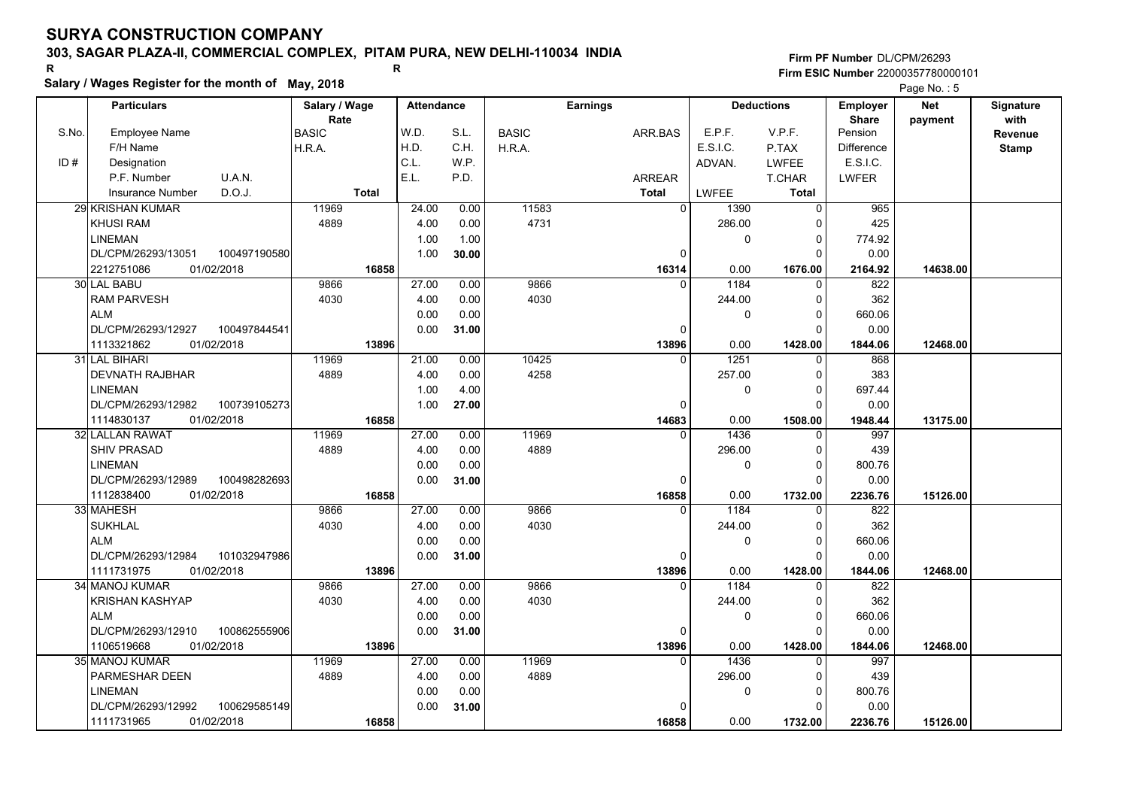# **303, SAGAR PLAZA-II, COMMERCIAL COMPLEX, PITAM PURA, NEW DELHI-110034 INDIA**

**Salary / Wages Register for the month of May, 2018 <sup>R</sup> <sup>R</sup>**

### **Firm PF Number**DL/CPM/26293**Firm ESIC Number** 22000357780000101

|       | <b>Particulars</b>                 | Salary / Wage        | <b>Attendance</b> |       |              | <b>Earnings</b> |           | <b>Deductions</b> | Employer                | <b>Net</b> | Signature       |
|-------|------------------------------------|----------------------|-------------------|-------|--------------|-----------------|-----------|-------------------|-------------------------|------------|-----------------|
| S.No. | Employee Name                      | Rate<br><b>BASIC</b> | W.D.              | S.L.  | <b>BASIC</b> | ARR.BAS         | E.P.F.    | V.P.F.            | <b>Share</b><br>Pension | payment    | with<br>Revenue |
|       | F/H Name                           | H.R.A.               | H.D.              | C.H.  | H.R.A.       |                 | E.S.I.C.  | P.TAX             | <b>Difference</b>       |            | <b>Stamp</b>    |
| ID#   | Designation                        |                      | C.L.              | W.P.  |              |                 | ADVAN.    | <b>LWFEE</b>      | E.S.I.C.                |            |                 |
|       | U.A.N.<br>P.F. Number              |                      | E.L.              | P.D.  |              | <b>ARREAR</b>   |           | T.CHAR            | <b>LWFER</b>            |            |                 |
|       | D.O.J.<br>Insurance Number         | <b>Total</b>         |                   |       |              | <b>Total</b>    | LWFEE     | <b>Total</b>      |                         |            |                 |
|       | 29 KRISHAN KUMAR                   | 11969                | 24.00             | 0.00  | 11583        | 0               | 1390      | $\Omega$          | 965                     |            |                 |
|       | <b>KHUSI RAM</b>                   | 4889                 | 4.00              | 0.00  | 4731         |                 | 286.00    | 0                 | 425                     |            |                 |
|       | LINEMAN                            |                      | 1.00              | 1.00  |              |                 | $\pmb{0}$ | 0                 | 774.92                  |            |                 |
|       | DL/CPM/26293/13051<br>100497190580 |                      | 1.00              | 30.00 |              | 0               |           | $\Omega$          | 0.00                    |            |                 |
|       | 2212751086<br>01/02/2018           | 16858                |                   |       |              | 16314           | 0.00      | 1676.00           | 2164.92                 | 14638.00   |                 |
|       | 30 LAL BABU                        | 9866                 | 27.00             | 0.00  | 9866         | $\Omega$        | 1184      | $\Omega$          | 822                     |            |                 |
|       | <b>RAM PARVESH</b>                 | 4030                 | 4.00              | 0.00  | 4030         |                 | 244.00    | 0                 | 362                     |            |                 |
|       | <b>ALM</b>                         |                      | 0.00              | 0.00  |              |                 | 0         | $\Omega$          | 660.06                  |            |                 |
|       | DL/CPM/26293/12927<br>100497844541 |                      | 0.00              | 31.00 |              | $\Omega$        |           | $\Omega$          | 0.00                    |            |                 |
|       | 1113321862<br>01/02/2018           | 13896                |                   |       |              | 13896           | 0.00      | 1428.00           | 1844.06                 | 12468.00   |                 |
|       | 31 LAL BIHARI                      | 11969                | 21.00             | 0.00  | 10425        | $\Omega$        | 1251      | $\Omega$          | 868                     |            |                 |
|       | <b>DEVNATH RAJBHAR</b>             | 4889                 | 4.00              | 0.00  | 4258         |                 | 257.00    | $\mathbf 0$       | 383                     |            |                 |
|       | <b>LINEMAN</b>                     |                      | 1.00              | 4.00  |              |                 | 0         | $\mathbf 0$       | 697.44                  |            |                 |
|       | DL/CPM/26293/12982<br>100739105273 |                      | 1.00              | 27.00 |              | $\Omega$        |           | $\Omega$          | 0.00                    |            |                 |
|       | 1114830137<br>01/02/2018           | 16858                |                   |       |              | 14683           | 0.00      | 1508.00           | 1948.44                 | 13175.00   |                 |
|       | 32l LALLAN RAWAT                   | 11969                | 27.00             | 0.00  | 11969        | $\Omega$        | 1436      | $\Omega$          | 997                     |            |                 |
|       | <b>SHIV PRASAD</b>                 | 4889                 | 4.00              | 0.00  | 4889         |                 | 296.00    | $\mathbf 0$       | 439                     |            |                 |
|       | <b>LINEMAN</b>                     |                      | 0.00              | 0.00  |              |                 | 0         | $\Omega$          | 800.76                  |            |                 |
|       | DL/CPM/26293/12989<br>100498282693 |                      | 0.00              | 31.00 |              | 0               |           | $\Omega$          | 0.00                    |            |                 |
|       | 1112838400<br>01/02/2018           | 16858                |                   |       |              | 16858           | 0.00      | 1732.00           | 2236.76                 | 15126.00   |                 |
|       | 33 MAHESH                          | 9866                 | 27.00             | 0.00  | 9866         | $\Omega$        | 1184      | $\Omega$          | 822                     |            |                 |
|       | <b>SUKHLAL</b>                     | 4030                 | 4.00              | 0.00  | 4030         |                 | 244.00    | $\Omega$          | 362                     |            |                 |
|       | <b>ALM</b>                         |                      | 0.00              | 0.00  |              |                 | 0         | $\mathbf 0$       | 660.06                  |            |                 |
|       | DL/CPM/26293/12984<br>101032947986 |                      | 0.00              | 31.00 |              | 0               |           | $\Omega$          | 0.00                    |            |                 |
|       | 1111731975<br>01/02/2018           | 13896                |                   |       |              | 13896           | 0.00      | 1428.00           | 1844.06                 | 12468.00   |                 |
|       | 34 MANOJ KUMAR                     | 9866                 | 27.00             | 0.00  | 9866         | $\Omega$        | 1184      | $\Omega$          | 822                     |            |                 |
|       | <b>KRISHAN KASHYAP</b>             | 4030                 | 4.00              | 0.00  | 4030         |                 | 244.00    | 0                 | 362                     |            |                 |
|       | <b>ALM</b>                         |                      | 0.00              | 0.00  |              |                 | 0         | $\mathbf 0$       | 660.06                  |            |                 |
|       | DL/CPM/26293/12910<br>100862555906 |                      | 0.00              | 31.00 |              | 0               |           | $\Omega$          | 0.00                    |            |                 |
|       | 1106519668<br>01/02/2018           | 13896                |                   |       |              | 13896           | 0.00      | 1428.00           | 1844.06                 | 12468.00   |                 |
|       | 35 MANOJ KUMAR                     | 11969                | 27.00             | 0.00  | 11969        | $\Omega$        | 1436      | $\Omega$          | 997                     |            |                 |
|       | PARMESHAR DEEN                     | 4889                 | 4.00              | 0.00  | 4889         |                 | 296.00    | 0                 | 439                     |            |                 |
|       | <b>LINEMAN</b>                     |                      | 0.00              | 0.00  |              |                 | 0         | 0                 | 800.76                  |            |                 |
|       | DL/CPM/26293/12992<br>100629585149 |                      | 0.00              | 31.00 |              | 0               |           | $\Omega$          | 0.00                    |            |                 |
|       | 1111731965<br>01/02/2018           | 16858                |                   |       |              | 16858           | 0.00      | 1732.00           | 2236.76                 | 15126.00   |                 |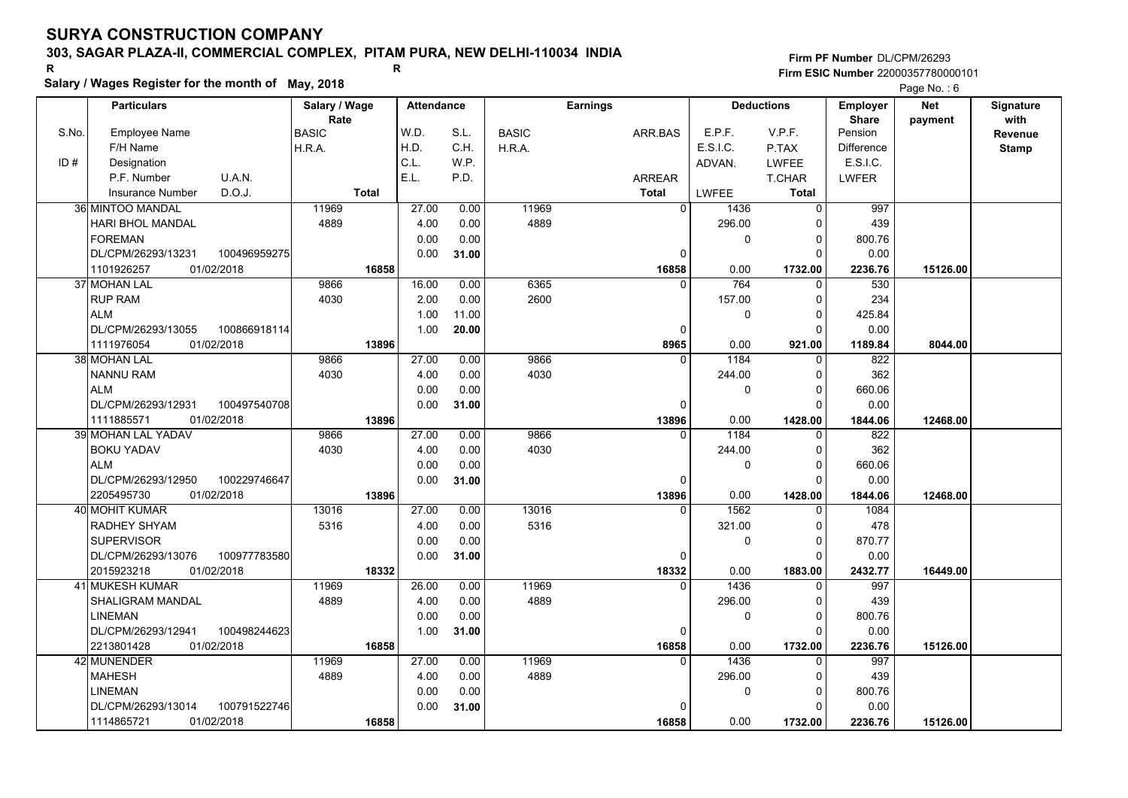# **303, SAGAR PLAZA-II, COMMERCIAL COMPLEX, PITAM PURA, NEW DELHI-110034 INDIA**

**Firm PF Number**DL/CPM/26293**Firm ESIC Number** 22000357780000101

| R.    |                                                    |              |                       |       | R                 |       |              |                 |               |          |                   |                          | <b>Firm ESIC Number 22000357780000101</b> |                          |
|-------|----------------------------------------------------|--------------|-----------------------|-------|-------------------|-------|--------------|-----------------|---------------|----------|-------------------|--------------------------|-------------------------------------------|--------------------------|
|       | Salary / Wages Register for the month of May, 2018 |              |                       |       |                   |       |              |                 |               |          |                   |                          | Page No.: 6                               |                          |
|       | <b>Particulars</b>                                 |              | Salary / Wage<br>Rate |       | <b>Attendance</b> |       |              | <b>Earnings</b> |               |          | <b>Deductions</b> | <b>Employer</b><br>Share | <b>Net</b><br>payment                     | <b>Signature</b><br>with |
| S.No. | Employee Name                                      |              | <b>BASIC</b>          |       | W.D.              | S.L.  | <b>BASIC</b> |                 | ARR.BAS       | E.P.F.   | V.P.F.            | Pension                  |                                           | Revenue                  |
|       | F/H Name                                           |              | IH.R.A.               |       | H.D.              | C.H.  | H.R.A.       |                 |               | E.S.I.C. | P.TAX             | <b>Difference</b>        |                                           | <b>Stamp</b>             |
| ID#   | Designation                                        |              |                       |       | C.L               | W.P.  |              |                 |               | ADVAN.   | <b>LWFEE</b>      | <b>E.S.I.C.</b>          |                                           |                          |
|       | P.F. Number                                        | U.A.N.       |                       |       | E.L.              | P.D.  |              |                 | <b>ARREAR</b> |          | T.CHAR            | <b>LWFER</b>             |                                           |                          |
|       | Insurance Number                                   | D.O.J.       |                       | Total |                   |       |              |                 | Total         | LWFEE    | Total             |                          |                                           |                          |
|       | 36 MINTOO MANDAL                                   |              | 11969                 |       | 27.00             | 0.00  | 11969        |                 |               | 1436     |                   | 997                      |                                           |                          |
|       | HARI BHOL MANDAL                                   |              | 4889                  |       | 4.00              | 0.00  | 4889         |                 |               | 296.00   |                   | 439                      |                                           |                          |
|       | <b>FOREMAN</b>                                     |              |                       |       | 0.00              | 0.00  |              |                 |               |          |                   | 800.76                   |                                           |                          |
|       | DL/CPM/26293/13231                                 | 100496959275 |                       |       | 0.00              | 31.00 |              |                 |               |          |                   | 0.00                     |                                           |                          |
|       | 11101026257                                        | 01/02/2018   |                       | 16858 |                   |       |              |                 | 16858         | n nn     | 1732 00           | 2236.76                  | 15126.00                                  |                          |

| ID# | Designation                         |              | C.L.  | W.P.  |       |               | ADVAN.       | LWFEE    | E.S.I.C.     |          |  |
|-----|-------------------------------------|--------------|-------|-------|-------|---------------|--------------|----------|--------------|----------|--|
|     | P.F. Number<br>U.A.N.               |              | E.L.  | P.D.  |       | <b>ARREAR</b> |              | T.CHAR   | <b>LWFER</b> |          |  |
|     | D.O.J.<br><b>Insurance Number</b>   | <b>Total</b> |       |       |       | <b>Total</b>  | LWFEE        | Total    |              |          |  |
|     | 36 MINTOO MANDAL                    | 11969        | 27.00 | 0.00  | 11969 | $\mathbf 0$   | 1436         | 0        | 997          |          |  |
|     | HARI BHOL MANDAL                    | 4889         | 4.00  | 0.00  | 4889  |               | 296.00       | 0        | 439          |          |  |
|     | FOREMAN                             |              | 0.00  | 0.00  |       |               | $\Omega$     | 0        | 800.76       |          |  |
|     | DL/CPM/26293/13231<br>100496959275  |              | 0.00  | 31.00 |       | $\mathbf 0$   |              | 0        | 0.00         |          |  |
|     | 1101926257<br>01/02/2018            | 16858        |       |       |       | 16858         | 0.00         | 1732.00  | 2236.76      | 15126.00 |  |
|     | 37 MOHAN LAL                        | 9866         | 16.00 | 0.00  | 6365  | $\mathbf{0}$  | 764          | 0        | 530          |          |  |
|     | <b>RUP RAM</b>                      | 4030         | 2.00  | 0.00  | 2600  |               | 157.00       | 0        | 234          |          |  |
|     | <b>ALM</b>                          |              | 1.00  | 11.00 |       |               | $\Omega$     | 0        | 425.84       |          |  |
|     | DL/CPM/26293/13055<br>100866918114  |              | 1.00  | 20.00 |       | $\mathbf 0$   |              | 0        | 0.00         |          |  |
|     | 1111976054<br>01/02/2018            | 13896        |       |       |       | 8965          | 0.00         | 921.00   | 1189.84      | 8044.00  |  |
|     | 38 MOHAN LAL                        | 9866         | 27.00 | 0.00  | 9866  | $\Omega$      | 1184         | $\Omega$ | 822          |          |  |
|     | <b>NANNU RAM</b>                    | 4030         | 4.00  | 0.00  | 4030  |               | 244.00       | $\Omega$ | 362          |          |  |
|     | <b>ALM</b>                          |              | 0.00  | 0.00  |       |               | $\Omega$     | 0        | 660.06       |          |  |
|     | DL/CPM/26293/12931<br>100497540708  |              | 0.00  | 31.00 |       | $\mathbf 0$   |              | 0        | 0.00         |          |  |
|     | 1111885571<br>01/02/2018            | 13896        |       |       |       | 13896         | 0.00         | 1428.00  | 1844.06      | 12468.00 |  |
|     | 39 MOHAN LAL YADAV                  | 9866         | 27.00 | 0.00  | 9866  | $\Omega$      | 1184         | 0        | 822          |          |  |
|     | <b>BOKU YADAV</b>                   | 4030         | 4.00  | 0.00  | 4030  |               | 244.00       | 0        | 362          |          |  |
|     | <b>ALM</b>                          |              | 0.00  | 0.00  |       |               | $\mathbf 0$  | 0        | 660.06       |          |  |
|     | DL/CPM/26293/12950<br>100229746647  |              | 0.00  | 31.00 |       | 0             |              | $\Omega$ | 0.00         |          |  |
|     | 2205495730<br>01/02/2018            | 13896        |       |       |       | 13896         | 0.00         | 1428.00  | 1844.06      | 12468.00 |  |
|     | 40 MOHIT KUMAR                      | 13016        | 27.00 | 0.00  | 13016 | 0             | 1562         | 0        | 1084         |          |  |
|     | <b>RADHEY SHYAM</b>                 | 5316         | 4.00  | 0.00  | 5316  |               | 321.00       | 0        | 478          |          |  |
|     | <b>SUPERVISOR</b>                   |              | 0.00  | 0.00  |       |               | $\Omega$     | 0        | 870.77       |          |  |
|     | 100977783580l<br>DL/CPM/26293/13076 |              | 0.00  | 31.00 |       | $\Omega$      |              | $\Omega$ | 0.00         |          |  |
|     | 2015923218<br>01/02/2018            | 18332        |       |       |       | 18332         | 0.00         | 1883.00  | 2432.77      | 16449.00 |  |
|     | <b>41 MUKESH KUMAR</b>              | 11969        | 26.00 | 0.00  | 11969 | $\Omega$      | 1436         | $\Omega$ | 997          |          |  |
|     | SHALIGRAM MANDAL                    | 4889         | 4.00  | 0.00  | 4889  |               | 296.00       | $\Omega$ | 439          |          |  |
|     | <b>LINEMAN</b>                      |              | 0.00  | 0.00  |       |               | $\mathbf{0}$ | $\Omega$ | 800.76       |          |  |
|     | DL/CPM/26293/12941<br>100498244623  |              | 1.00  | 31.00 |       | $\Omega$      |              | $\Omega$ | 0.00         |          |  |
|     | 2213801428<br>01/02/2018            | 16858        |       |       |       | 16858         | 0.00         | 1732.00  | 2236.76      | 15126.00 |  |
|     | 42 MUNENDER                         | 11969        | 27.00 | 0.00  | 11969 | $\Omega$      | 1436         | 0        | 997          |          |  |
|     | <b>MAHESH</b>                       | 4889         | 4.00  | 0.00  | 4889  |               | 296.00       | 0        | 439          |          |  |
|     | <b>LINEMAN</b>                      |              | 0.00  | 0.00  |       |               | $\mathbf{0}$ | 0        | 800.76       |          |  |
|     | 100791522746<br>DL/CPM/26293/13014  |              | 0.00  | 31.00 |       | 0             |              | 0        | 0.00         |          |  |
|     | 1114865721<br>01/02/2018            | 16858        |       |       |       | 16858         | 0.00         | 1732.00  | 2236.76      | 15126.00 |  |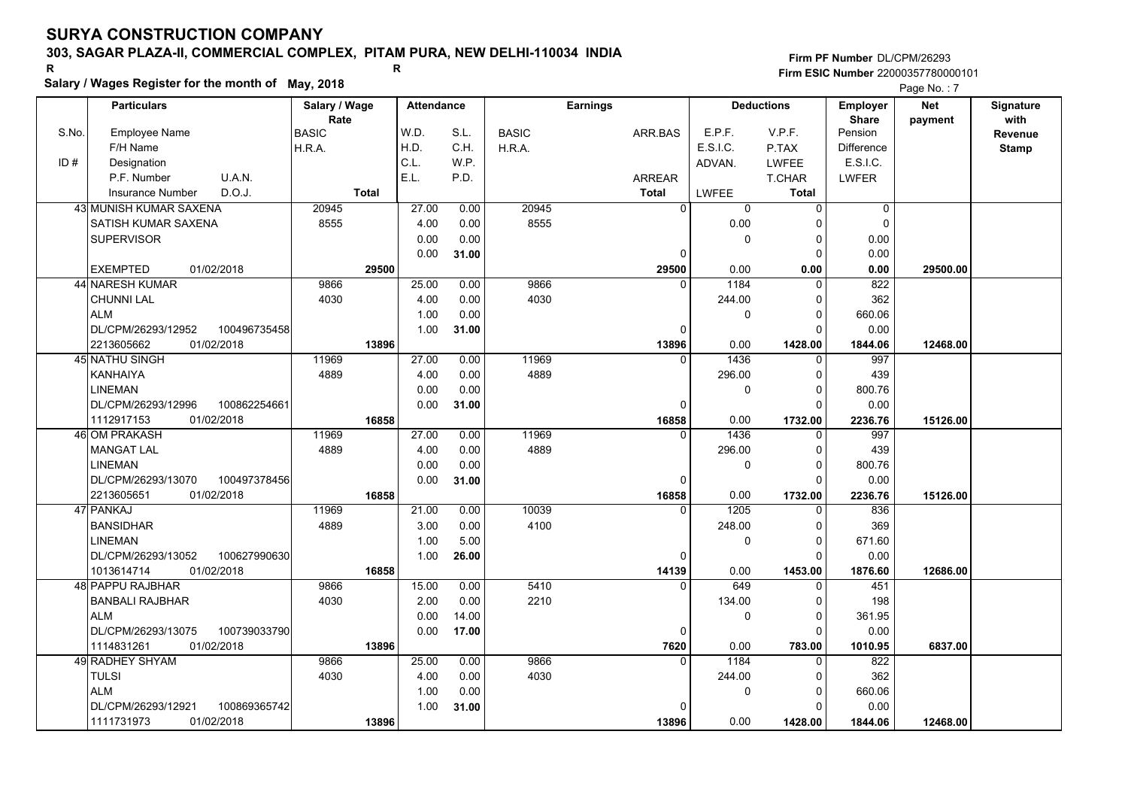# **303, SAGAR PLAZA-II, COMMERCIAL COMPLEX, PITAM PURA, NEW DELHI-110034 INDIA**

**Salary / Wages Register for the month of May, 2018 <sup>R</sup> <sup>R</sup>**

### **Firm PF Number**DL/CPM/26293**Firm ESIC Number** 22000357780000101

|       | <b>Particulars</b>                 | Salary / Wage        | <b>Attendance</b> |       |              | <b>Earnings</b> |             | <b>Deductions</b> | Employer                | <b>Net</b> | Signature       |
|-------|------------------------------------|----------------------|-------------------|-------|--------------|-----------------|-------------|-------------------|-------------------------|------------|-----------------|
| S.No. | Employee Name                      | Rate<br><b>BASIC</b> | W.D.              | S.L.  | <b>BASIC</b> | ARR BAS         | E.P.F.      | V.P.F.            | <b>Share</b><br>Pension | payment    | with<br>Revenue |
|       | F/H Name                           | H.R.A.               | H.D.              | C.H.  | H.R.A.       |                 | E.S.I.C.    | P.TAX             | <b>Difference</b>       |            | <b>Stamp</b>    |
| ID#   | Designation                        |                      | C.L.              | W.P.  |              |                 | ADVAN.      | LWFEE             | E.S.I.C.                |            |                 |
|       | U.A.N.<br>P.F. Number              |                      | E.L.              | P.D.  |              | ARREAR          |             | T.CHAR            | <b>LWFER</b>            |            |                 |
|       | D.O.J.<br><b>Insurance Number</b>  | <b>Total</b>         |                   |       |              | <b>Total</b>    | LWFEE       | <b>Total</b>      |                         |            |                 |
|       | 43 MUNISH KUMAR SAXENA             | 20945                | 27.00             | 0.00  | 20945        | $\Omega$        | $\mathbf 0$ | $\Omega$          | $\pmb{0}$               |            |                 |
|       | SATISH KUMAR SAXENA                | 8555                 | 4.00              | 0.00  | 8555         |                 | 0.00        | ŋ                 | $\pmb{0}$               |            |                 |
|       | <b>SUPERVISOR</b>                  |                      | 0.00              | 0.00  |              |                 | 0           | 0                 | 0.00                    |            |                 |
|       |                                    |                      | 0.00              | 31.00 |              | 0               |             | $\Omega$          | 0.00                    |            |                 |
|       | <b>EXEMPTED</b><br>01/02/2018      | 29500                |                   |       |              | 29500           | 0.00        | 0.00              | 0.00                    | 29500.00   |                 |
|       | 44 NARESH KUMAR                    | 9866                 | 25.00             | 0.00  | 9866         | $\Omega$        | 1184        | $\Omega$          | 822                     |            |                 |
|       | <b>CHUNNI LAL</b>                  | 4030                 | 4.00              | 0.00  | 4030         |                 | 244.00      | $\Omega$          | 362                     |            |                 |
|       | <b>ALM</b>                         |                      | 1.00              | 0.00  |              |                 | 0           | $\Omega$          | 660.06                  |            |                 |
|       | DL/CPM/26293/12952<br>100496735458 |                      | 1.00              | 31.00 |              | 0               |             | $\Omega$          | 0.00                    |            |                 |
|       | 01/02/2018<br>2213605662           | 13896                |                   |       |              | 13896           | 0.00        | 1428.00           | 1844.06                 | 12468.00   |                 |
|       | <b>45 NATHU SINGH</b>              | 11969                | 27.00             | 0.00  | 11969        | $\Omega$        | 1436        | $\Omega$          | 997                     |            |                 |
|       | <b>KANHAIYA</b>                    | 4889                 | 4.00              | 0.00  | 4889         |                 | 296.00      | $\Omega$          | 439                     |            |                 |
|       | <b>LINEMAN</b>                     |                      | 0.00              | 0.00  |              |                 | 0           | $\Omega$          | 800.76                  |            |                 |
|       | DL/CPM/26293/12996<br>100862254661 |                      | 0.00              | 31.00 |              | 0               |             |                   | 0.00                    |            |                 |
|       | 01/02/2018<br>1112917153           | 16858                |                   |       |              | 16858           | 0.00        | 1732.00           | 2236.76                 | 15126.00   |                 |
|       | 46 OM PRAKASH                      | 11969                | 27.00             | 0.00  | 11969        | 0               | 1436        | $\Omega$          | 997                     |            |                 |
|       | <b>MANGAT LAL</b>                  | 4889                 | 4.00              | 0.00  | 4889         |                 | 296.00      | $\Omega$          | 439                     |            |                 |
|       | <b>LINEMAN</b>                     |                      | 0.00              | 0.00  |              |                 | 0           | $\Omega$          | 800.76                  |            |                 |
|       | DL/CPM/26293/13070<br>100497378456 |                      | 0.00              | 31.00 |              | 0               |             | $\Omega$          | 0.00                    |            |                 |
|       | 2213605651<br>01/02/2018           | 16858                |                   |       |              | 16858           | 0.00        | 1732.00           | 2236.76                 | 15126.00   |                 |
|       | 47 PANKAJ                          | 11969                | 21.00             | 0.00  | 10039        | $\Omega$        | 1205        |                   | 836                     |            |                 |
|       | <b>BANSIDHAR</b>                   | 4889                 | 3.00              | 0.00  | 4100         |                 | 248.00      | $\Omega$          | 369                     |            |                 |
|       | <b>LINEMAN</b>                     |                      | 1.00              | 5.00  |              |                 | 0           | $\Omega$          | 671.60                  |            |                 |
|       | DL/CPM/26293/13052<br>100627990630 |                      | 1.00              | 26.00 |              | 0               |             | $\Omega$          | 0.00                    |            |                 |
|       | 1013614714<br>01/02/2018           | 16858                |                   |       |              | 14139           | 0.00        | 1453.00           | 1876.60                 | 12686.00   |                 |
|       | 48 PAPPU RAJBHAR                   | 9866                 | 15.00             | 0.00  | 5410         | $\Omega$        | 649         | $\Omega$          | 451                     |            |                 |
|       | <b>BANBALI RAJBHAR</b>             | 4030                 | 2.00              | 0.00  | 2210         |                 | 134.00      | $\Omega$          | 198                     |            |                 |
|       | <b>ALM</b>                         |                      | 0.00              | 14.00 |              |                 | 0           | $\mathbf{0}$      | 361.95                  |            |                 |
|       | DL/CPM/26293/13075<br>100739033790 |                      | 0.00              | 17.00 |              | 0               |             | $\Omega$          | 0.00                    |            |                 |
|       | 01/02/2018<br>1114831261           | 13896                |                   |       |              | 7620            | 0.00        | 783.00            | 1010.95                 | 6837.00    |                 |
|       | 49 RADHEY SHYAM                    | 9866                 | 25.00             | 0.00  | 9866         | $\Omega$        | 1184        | $\Omega$          | 822                     |            |                 |
|       | TULSI                              | 4030                 | 4.00              | 0.00  | 4030         |                 | 244.00      | ŋ                 | 362                     |            |                 |
|       | <b>ALM</b>                         |                      | 1.00              | 0.00  |              |                 | 0           | $\Omega$          | 660.06                  |            |                 |
|       | DL/CPM/26293/12921<br>100869365742 |                      | 1.00              | 31.00 |              | $\Omega$        |             |                   | 0.00                    |            |                 |
|       | 1111731973<br>01/02/2018           | 13896                |                   |       |              | 13896           | 0.00        | 1428.00           | 1844.06                 | 12468.00   |                 |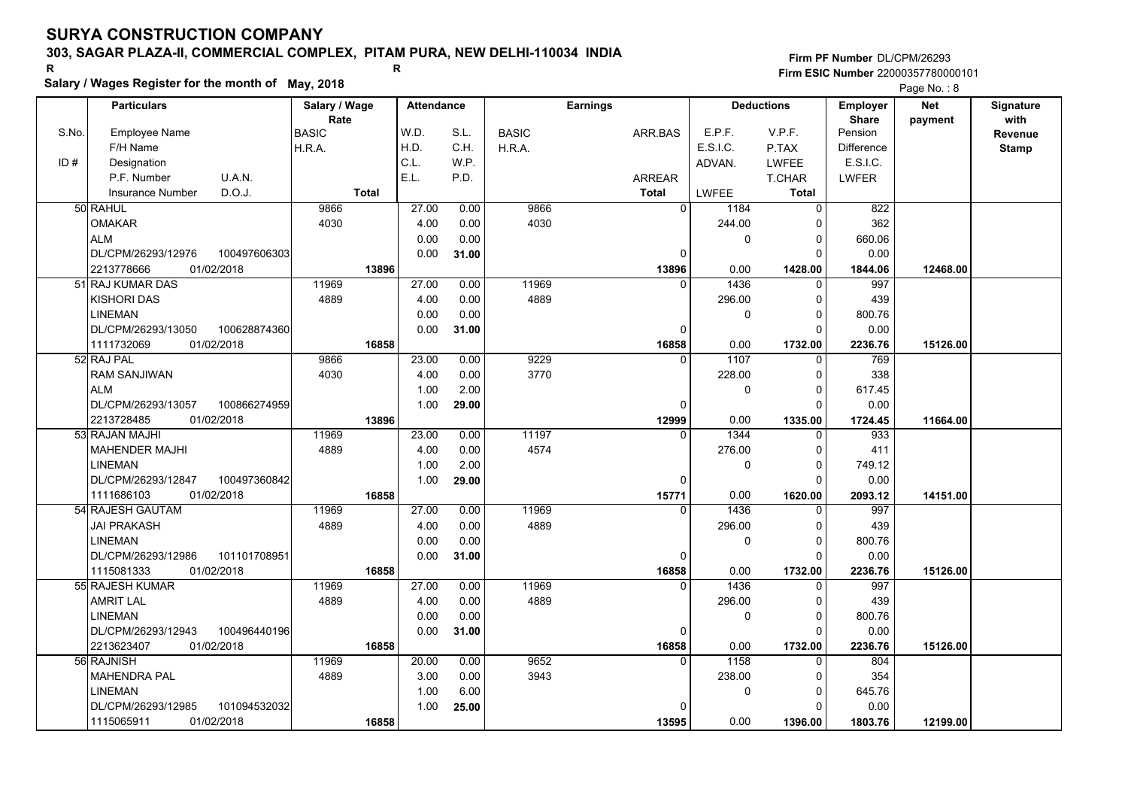# **303, SAGAR PLAZA-II, COMMERCIAL COMPLEX, PITAM PURA, NEW DELHI-110034 INDIA**

**Salary / Wages Register for the month of May, 2018 <sup>R</sup> <sup>R</sup>**

### **Firm PF Number**DL/CPM/26293**Firm ESIC Number** 22000357780000101

|       | <b>Particulars</b>                 | Salary / Wage        | <b>Attendance</b> |       |              | <b>Earnings</b>   |              | <b>Deductions</b>   | <b>Employer</b>         | <b>Net</b> | Signature    |
|-------|------------------------------------|----------------------|-------------------|-------|--------------|-------------------|--------------|---------------------|-------------------------|------------|--------------|
| S.No. | Employee Name                      | Rate<br><b>BASIC</b> | W.D.              | S.L.  | <b>BASIC</b> | ARR.BAS           | E.P.F.       | V.P.F.              | <b>Share</b><br>Pension | payment    | with         |
|       | F/H Name                           | H.R.A.               | H.D.              | C.H.  | H.R.A.       |                   | E.S.I.C.     | P.TAX               | <b>Difference</b>       |            | Revenue      |
| ID#   | Designation                        |                      | C.L.              | WP.   |              |                   | ADVAN.       | LWFEE               | E.S.I.C.                |            | <b>Stamp</b> |
|       | P.F. Number<br>U.A.N.              |                      | E.L.              | P.D.  |              | <b>ARREAR</b>     |              | T.CHAR              | LWFER                   |            |              |
|       | D.O.J.<br><b>Insurance Number</b>  | <b>Total</b>         |                   |       |              | <b>Total</b>      | LWFEE        | Total               |                         |            |              |
|       | 50 RAHUL                           | 9866                 | 27.00             |       | 9866         | $\overline{0}$    |              | $\Omega$            | 822                     |            |              |
|       |                                    |                      |                   | 0.00  |              |                   | 1184         |                     |                         |            |              |
|       | <b>OMAKAR</b>                      | 4030                 | 4.00              | 0.00  | 4030         |                   | 244.00       | 0                   | 362                     |            |              |
|       | <b>ALM</b>                         |                      | 0.00              | 0.00  |              |                   | 0            | $\mathbf{0}$<br>O   | 660.06                  |            |              |
|       | DL/CPM/26293/12976<br>100497606303 |                      | 0.00              | 31.00 |              | 0                 |              |                     | 0.00                    |            |              |
|       | 2213778666<br>01/02/2018           | 13896                | 27.00             |       |              | 13896<br>$\Omega$ | 0.00<br>1436 | 1428.00<br>$\Omega$ | 1844.06                 | 12468.00   |              |
|       | 51 RAJ KUMAR DAS                   | 11969                |                   | 0.00  | 11969        |                   |              |                     | 997                     |            |              |
|       | <b>KISHORI DAS</b>                 | 4889                 | 4.00              | 0.00  | 4889         |                   | 296.00       | $\Omega$            | 439                     |            |              |
|       | <b>LINEMAN</b>                     |                      | 0.00              | 0.00  |              |                   | 0            | $\Omega$            | 800.76                  |            |              |
|       | DL/CPM/26293/13050<br>100628874360 |                      | 0.00              | 31.00 |              | 0                 |              | $\Omega$            | 0.00                    |            |              |
|       | 1111732069<br>01/02/2018           | 16858                |                   |       |              | 16858<br>$\Omega$ | 0.00         | 1732.00<br>$\Omega$ | 2236.76                 | 15126.00   |              |
|       | 52 RAJ PAL                         | 9866                 | 23.00             | 0.00  | 9229         |                   | 1107         |                     | 769                     |            |              |
|       | <b>RAM SANJIWAN</b>                | 4030                 | 4.00              | 0.00  | 3770         |                   | 228.00       | $\Omega$            | 338                     |            |              |
|       | <b>ALM</b>                         |                      | 1.00              | 2.00  |              |                   | 0            | $\Omega$            | 617.45                  |            |              |
|       | 100866274959<br>DL/CPM/26293/13057 |                      | 1.00              | 29.00 |              | $\Omega$          |              |                     | 0.00                    |            |              |
|       | 2213728485<br>01/02/2018           | 13896                |                   |       |              | 12999             | 0.00         | 1335.00             | 1724.45                 | 11664.00   |              |
|       | 53 RAJAN MAJHI                     | 11969                | 23.00             | 0.00  | 11197        |                   | 1344         | 0<br>$\Omega$       | 933                     |            |              |
|       | <b>MAHENDER MAJHI</b>              | 4889                 | 4.00              | 0.00  | 4574         |                   | 276.00       |                     | 411                     |            |              |
|       | <b>LINEMAN</b>                     |                      | 1.00              | 2.00  |              |                   | 0            | $\Omega$            | 749.12                  |            |              |
|       | DL/CPM/26293/12847<br>100497360842 |                      | 1.00              | 29.00 |              | $\Omega$          |              | $\Omega$            | 0.00                    |            |              |
|       | 1111686103<br>01/02/2018           | 16858                |                   |       |              | 15771             | 0.00         | 1620.00             | 2093.12                 | 14151.00   |              |
|       | 54 RAJESH GAUTAM                   | 11969                | 27.00             | 0.00  | 11969        | $\Omega$          | 1436         |                     | 997                     |            |              |
|       | <b>JAI PRAKASH</b>                 | 4889                 | 4.00              | 0.00  | 4889         |                   | 296.00       | $\Omega$            | 439                     |            |              |
|       | <b>LINEMAN</b>                     |                      | 0.00              | 0.00  |              |                   | 0            | $\Omega$            | 800.76                  |            |              |
|       | DL/CPM/26293/12986<br>101101708951 |                      | 0.00              | 31.00 |              | $\mathbf 0$       |              | $\Omega$            | 0.00                    |            |              |
|       | 01/02/2018<br>1115081333           | 16858                |                   |       |              | 16858             | 0.00         | 1732.00             | 2236.76                 | 15126.00   |              |
|       | 55 RAJESH KUMAR                    | 11969                | 27.00             | 0.00  | 11969        | $\Omega$          | 1436         | $\Omega$            | 997                     |            |              |
|       | <b>AMRIT LAL</b>                   | 4889                 | 4.00              | 0.00  | 4889         |                   | 296.00       | $\Omega$            | 439                     |            |              |
|       | <b>LINEMAN</b>                     |                      | 0.00              | 0.00  |              |                   | 0            | 0                   | 800.76                  |            |              |
|       | DL/CPM/26293/12943<br>100496440196 |                      | 0.00              | 31.00 |              | $\Omega$          |              | $\Omega$            | 0.00                    |            |              |
|       | 2213623407<br>01/02/2018           | 16858                |                   |       |              | 16858             | 0.00         | 1732.00             | 2236.76                 | 15126.00   |              |
|       | 56 RAJNISH                         | 11969                | 20.00             | 0.00  | 9652         | $\Omega$          | 1158         | $\Omega$            | 804                     |            |              |
|       | <b>MAHENDRA PAL</b>                | 4889                 | 3.00              | 0.00  | 3943         |                   | 238.00       | $\Omega$            | 354                     |            |              |
|       | <b>LINEMAN</b>                     |                      | 1.00              | 6.00  |              |                   | 0            | $\Omega$            | 645.76                  |            |              |
|       | DL/CPM/26293/12985<br>101094532032 |                      | 1.00              | 25.00 |              | $\Omega$          |              | $\Omega$            | 0.00                    |            |              |
|       | 01/02/2018<br>1115065911           | 16858                |                   |       |              | 13595             | 0.00         | 1396.00             | 1803.76                 | 12199.00   |              |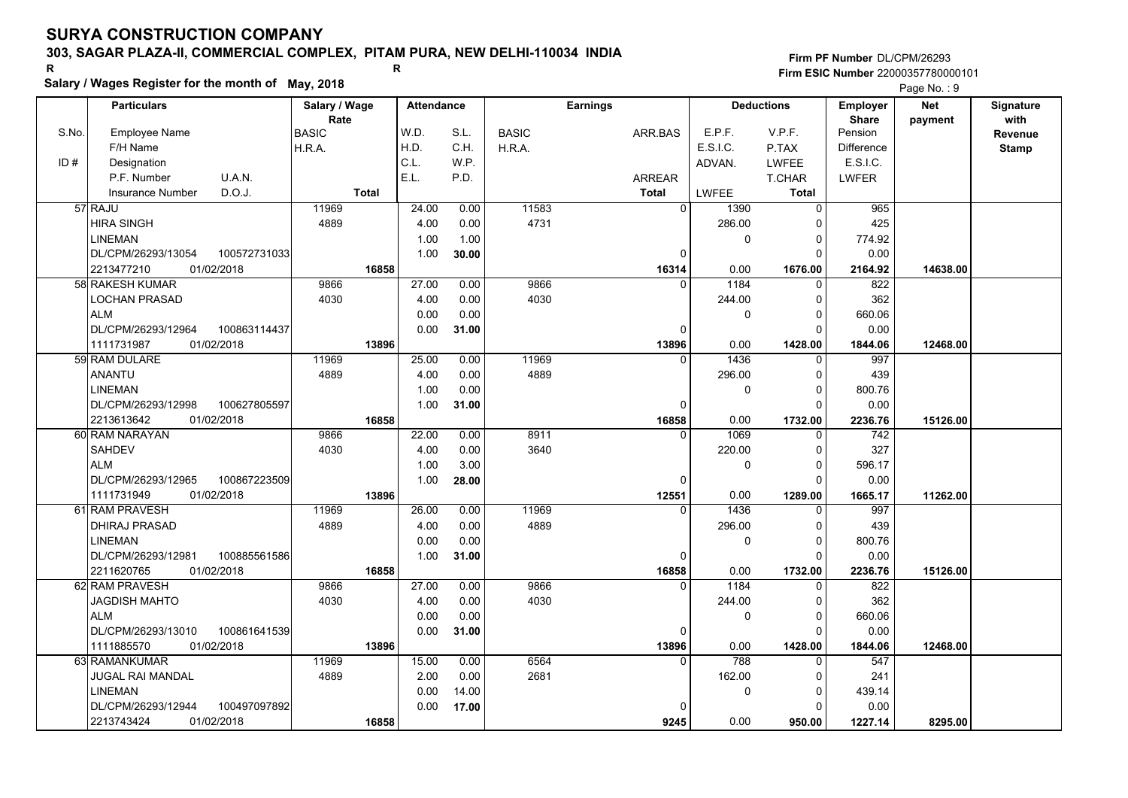# **303, SAGAR PLAZA-II, COMMERCIAL COMPLEX, PITAM PURA, NEW DELHI-110034 INDIA**

**Salary / Wages Register for the month of May, 2018 <sup>R</sup> <sup>R</sup>**

## **Firm PF Number**DL/CPM/26293**Firm ESIC Number** 22000357780000101

|       | <b>Particulars</b>                 | Salary / Wage        | <b>Attendance</b> |       |              | <b>Earnings</b> |                        | <b>Deductions</b>       | Employer                | <b>Net</b> | Signature              |
|-------|------------------------------------|----------------------|-------------------|-------|--------------|-----------------|------------------------|-------------------------|-------------------------|------------|------------------------|
| S.No. | Employee Name                      | Rate<br><b>BASIC</b> | W.D.              | S.L.  | <b>BASIC</b> | ARR.BAS         | E.P.F.                 | V.P.F.                  | <b>Share</b><br>Pension | payment    | with<br><b>Revenue</b> |
|       | F/H Name                           | H.R.A.               | H.D.              | C.H.  | H.R.A.       |                 | E.S.I.C.               | P.TAX                   | <b>Difference</b>       |            | <b>Stamp</b>           |
| ID#   | Designation                        |                      | C.L.              | W.P.  |              |                 | ADVAN.                 | <b>LWFEE</b>            | E.S.I.C.                |            |                        |
|       | U.A.N.<br>P.F. Number              |                      | E.L.              | P.D.  |              | ARREAR          |                        | T.CHAR                  | <b>LWFER</b>            |            |                        |
|       | D.O.J.<br><b>Insurance Number</b>  | <b>Total</b>         |                   |       |              | <b>Total</b>    | <b>LWFEE</b>           | Total                   |                         |            |                        |
|       | 57 RAJU                            | 11969                | 24.00             | 0.00  | 11583        |                 | $\overline{0}$<br>1390 | $\overline{0}$          | 965                     |            |                        |
|       | <b>HIRA SINGH</b>                  | 4889                 | 4.00              | 0.00  | 4731         |                 | 286.00                 | $\Omega$                | 425                     |            |                        |
|       | <b>LINEMAN</b>                     |                      | 1.00              | 1.00  |              |                 | 0                      | $\mathbf 0$             | 774.92                  |            |                        |
|       | DL/CPM/26293/13054<br>100572731033 |                      | 1.00              | 30.00 |              |                 | $\mathbf 0$            | $\Omega$                | 0.00                    |            |                        |
|       | 2213477210<br>01/02/2018           | 16858                |                   |       |              | 16314           | 0.00                   | 1676.00                 | 2164.92                 | 14638.00   |                        |
|       | 58 RAKESH KUMAR                    | 9866                 | 27.00             | 0.00  | 9866         |                 | 1184<br>$\Omega$       | $\Omega$                | 822                     |            |                        |
|       | LOCHAN PRASAD                      | 4030                 | 4.00              | 0.00  | 4030         |                 | 244.00                 | $\Omega$                | 362                     |            |                        |
|       | <b>ALM</b>                         |                      | 0.00              | 0.00  |              |                 | 0                      | $\mathbf 0$             | 660.06                  |            |                        |
|       | DL/CPM/26293/12964<br>100863114437 |                      | 0.00              | 31.00 |              |                 | $\mathbf 0$            | $\Omega$                | 0.00                    |            |                        |
|       | 1111731987<br>01/02/2018           | 13896                |                   |       |              | 13896           | 0.00                   | 1428.00                 | 1844.06                 | 12468.00   |                        |
|       | 59 RAM DULARE                      | 11969                | 25.00             | 0.00  | 11969        |                 | 1436<br>$\Omega$       | $\Omega$                | 997                     |            |                        |
|       | <b>ANANTU</b>                      | 4889                 | 4.00              | 0.00  | 4889         |                 | 296.00                 | $\mathbf 0$             | 439                     |            |                        |
|       | <b>LINEMAN</b>                     |                      | 1.00              | 0.00  |              |                 | 0                      | $\mathbf 0$             | 800.76                  |            |                        |
|       | DL/CPM/26293/12998<br>100627805597 |                      | 1.00              | 31.00 |              |                 | $\Omega$               | $\Omega$                | 0.00                    |            |                        |
|       | 2213613642<br>01/02/2018           | 16858                |                   |       |              | 16858           | 0.00                   | 1732.00                 | 2236.76                 | 15126.00   |                        |
|       | 60 RAM NARAYAN                     | 9866                 | 22.00             | 0.00  | 8911         |                 | 1069<br>$\Omega$       | $\mathbf 0$             | 742                     |            |                        |
|       | <b>SAHDEV</b>                      | 4030                 | 4.00              | 0.00  | 3640         |                 | 220.00                 | $\Omega$                | 327                     |            |                        |
|       | <b>ALM</b>                         |                      | 1.00              | 3.00  |              |                 | 0                      | $\mathbf 0$             | 596.17                  |            |                        |
|       | DL/CPM/26293/12965<br>100867223509 |                      | 1.00              | 28.00 |              |                 | $\Omega$               | $\Omega$                | 0.00                    |            |                        |
|       | 1111731949<br>01/02/2018           | 13896                |                   |       |              | 12551           | 0.00                   | 1289.00                 | 1665.17                 | 11262.00   |                        |
|       | 61 RAM PRAVESH                     | 11969                | 26.00             | 0.00  | 11969        |                 | 1436<br>$\Omega$       | $\Omega$                | 997                     |            |                        |
|       | <b>DHIRAJ PRASAD</b>               | 4889                 | 4.00              | 0.00  | 4889         |                 | 296.00                 | $\Omega$                | 439                     |            |                        |
|       | <b>LINEMAN</b>                     |                      | 0.00              | 0.00  |              |                 | 0                      | $\Omega$                | 800.76                  |            |                        |
|       | 100885561586<br>DL/CPM/26293/12981 |                      | 1.00              | 31.00 |              |                 | $\mathbf 0$            | $\Omega$                | 0.00                    |            |                        |
|       | 2211620765<br>01/02/2018           | 16858                |                   |       |              | 16858           | 0.00                   | 1732.00                 | 2236.76                 | 15126.00   |                        |
|       | 62 RAM PRAVESH                     | 9866                 | 27.00             | 0.00  | 9866         |                 | 1184<br>$\Omega$       | 0                       | 822                     |            |                        |
|       | <b>JAGDISH MAHTO</b>               | 4030                 | 4.00              | 0.00  | 4030         |                 | 244.00                 | $\Omega$                | 362                     |            |                        |
|       | <b>ALM</b>                         |                      | 0.00              | 0.00  |              |                 | 0                      | $\mathbf 0$             | 660.06                  |            |                        |
|       | DL/CPM/26293/13010<br>100861641539 |                      | 0.00              | 31.00 |              |                 | $\mathbf 0$            | $\Omega$                | 0.00                    |            |                        |
|       | 1111885570<br>01/02/2018           | 13896                |                   |       |              | 13896           | 0.00<br>$\Omega$       | 1428.00                 | 1844.06                 | 12468.00   |                        |
|       | 63 RAMANKUMAR                      | 11969                | 15.00             | 0.00  | 6564         |                 | 788                    | $\Omega$                | 547                     |            |                        |
|       | JUGAL RAI MANDAL                   | 4889                 | 2.00              | 0.00  | 2681         |                 | 162.00                 | $\Omega$                | 241                     |            |                        |
|       | <b>LINEMAN</b>                     |                      | 0.00              | 14.00 |              |                 | 0                      | $\mathbf 0$<br>$\Omega$ | 439.14                  |            |                        |
|       | DL/CPM/26293/12944<br>100497097892 |                      | 0.00              | 17.00 |              |                 | $\Omega$               |                         | 0.00                    |            |                        |
|       | 01/02/2018<br>2213743424           | 16858                |                   |       |              | 9245            | 0.00                   | 950.00                  | 1227.14                 | 8295.00    |                        |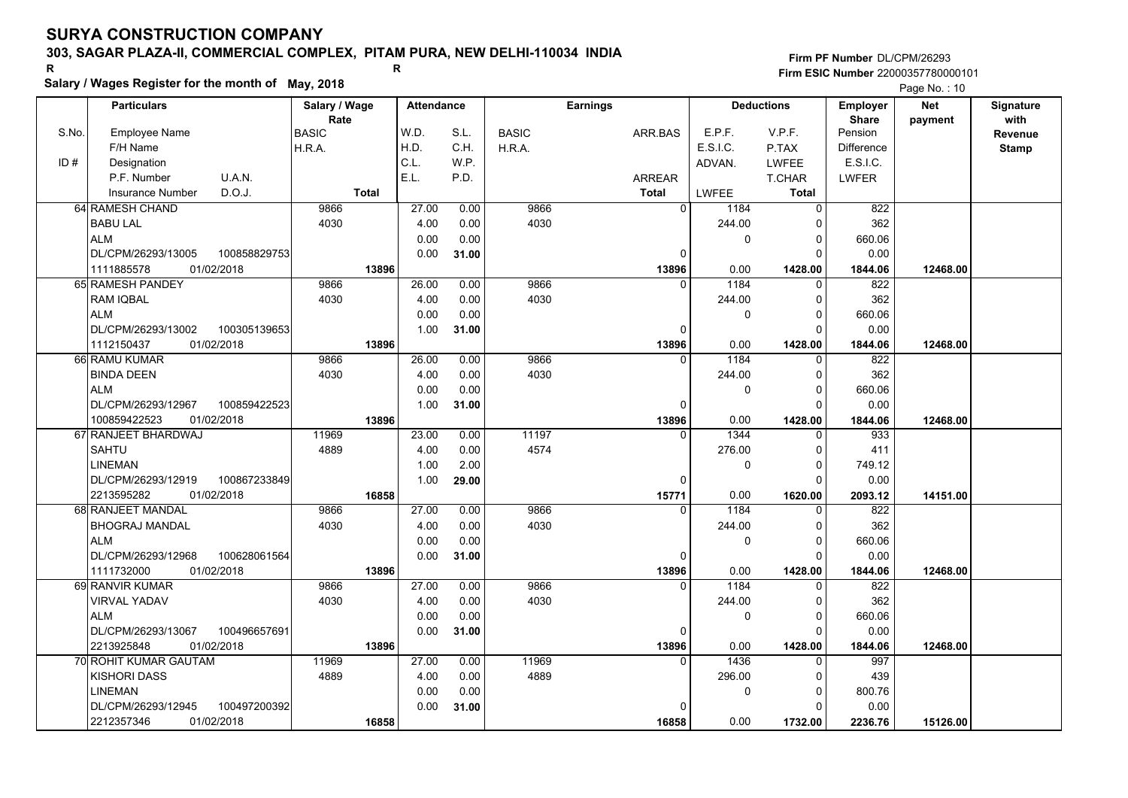# **303, SAGAR PLAZA-II, COMMERCIAL COMPLEX, PITAM PURA, NEW DELHI-110034 INDIA**

**Salary / Wages Register for the month of May, 2018 <sup>R</sup> <sup>R</sup>**

**Firm PF Number**DL/CPM/26293**Firm ESIC Number** 22000357780000101

|       | <b>Particulars</b>                 | Salary / Wage<br>Rate | <b>Attendance</b> |       |              | <b>Earnings</b> |             | <b>Deductions</b> | Employer<br><b>Share</b> | <b>Net</b> | Signature<br>with |
|-------|------------------------------------|-----------------------|-------------------|-------|--------------|-----------------|-------------|-------------------|--------------------------|------------|-------------------|
| S.No. | Employee Name                      | <b>BASIC</b>          | W.D.              | S.L.  | <b>BASIC</b> | ARR BAS         | E.P.F.      | V.P.F.            | Pension                  | payment    | Revenue           |
|       | F/H Name                           | H.R.A.                | H.D.              | C.H.  | H.R.A.       |                 | E.S.I.C.    | P.TAX             | <b>Difference</b>        |            | <b>Stamp</b>      |
| ID#   | Designation                        |                       | C.L.              | W.P.  |              |                 | ADVAN.      | LWFEE             | E.S.I.C.                 |            |                   |
|       | U.A.N.<br>P.F. Number              |                       | E.L.              | P.D.  |              | <b>ARREAR</b>   |             | T.CHAR            | <b>LWFER</b>             |            |                   |
|       | D.O.J.<br><b>Insurance Number</b>  | <b>Total</b>          |                   |       |              | <b>Total</b>    | LWFEE       | <b>Total</b>      |                          |            |                   |
|       | 64 RAMESH CHAND                    | 9866                  | 27.00             | 0.00  | 9866         | $\Omega$        | 1184        | $\Omega$          | 822                      |            |                   |
|       | <b>BABU LAL</b>                    | 4030                  | 4.00              | 0.00  | 4030         |                 | 244.00      | O                 | 362                      |            |                   |
|       | <b>ALM</b>                         |                       | 0.00              | 0.00  |              |                 | $\mathbf 0$ | 0                 | 660.06                   |            |                   |
|       | DL/CPM/26293/13005<br>100858829753 |                       | 0.00              | 31.00 |              | $\Omega$        |             | $\Omega$          | 0.00                     |            |                   |
|       | 01/02/2018<br>1111885578           | 13896                 |                   |       |              | 13896           | 0.00        | 1428.00           | 1844.06                  | 12468.00   |                   |
|       | 65 RAMESH PANDEY                   | 9866                  | 26.00             | 0.00  | 9866         | $\Omega$        | 1184        | 0                 | 822                      |            |                   |
|       | RAM IQBAL                          | 4030                  | 4.00              | 0.00  | 4030         |                 | 244.00      | 0                 | 362                      |            |                   |
|       | ALM                                |                       | 0.00              | 0.00  |              |                 | 0           | $\Omega$          | 660.06                   |            |                   |
|       | 100305139653<br>DL/CPM/26293/13002 |                       | 1.00              | 31.00 |              | 0               |             | $\Omega$          | 0.00                     |            |                   |
|       | 01/02/2018<br>1112150437           | 13896                 |                   |       |              | 13896           | 0.00        | 1428.00           | 1844.06                  | 12468.00   |                   |
|       | 66 RAMU KUMAR                      | 9866                  | 26.00             | 0.00  | 9866         | $\Omega$        | 1184        | $\mathbf{0}$      | 822                      |            |                   |
|       | <b>BINDA DEEN</b>                  | 4030                  | 4.00              | 0.00  | 4030         |                 | 244.00      | $\Omega$          | 362                      |            |                   |
|       | <b>ALM</b>                         |                       | 0.00              | 0.00  |              |                 | $\mathbf 0$ | $\Omega$          | 660.06                   |            |                   |
|       | DL/CPM/26293/12967<br>100859422523 |                       | 1.00              | 31.00 |              | $\mathbf{0}$    |             | $\Omega$          | 0.00                     |            |                   |
|       | 100859422523<br>01/02/2018         | 13896                 |                   |       |              | 13896           | 0.00        | 1428.00           | 1844.06                  | 12468.00   |                   |
|       | 67 RANJEET BHARDWAJ                | 11969                 | 23.00             | 0.00  | 11197        | $\Omega$        | 1344        | $\Omega$          | 933                      |            |                   |
|       | <b>SAHTU</b>                       | 4889                  | 4.00              | 0.00  | 4574         |                 | 276.00      | $\Omega$          | 411                      |            |                   |
|       | <b>LINEMAN</b>                     |                       | 1.00              | 2.00  |              |                 | $\mathbf 0$ | $\Omega$          | 749.12                   |            |                   |
|       | DL/CPM/26293/12919<br>100867233849 |                       | 1.00              | 29.00 |              | 0               |             | $\Omega$          | 0.00                     |            |                   |
|       | 2213595282<br>01/02/2018           | 16858                 |                   |       |              | 15771           | 0.00        | 1620.00           | 2093.12                  | 14151.00   |                   |
|       | 68 RANJEET MANDAL                  | 9866                  | 27.00             | 0.00  | 9866         | $\Omega$        | 1184        | $\Omega$          | 822                      |            |                   |
|       | <b>BHOGRAJ MANDAL</b>              | 4030                  | 4.00              | 0.00  | 4030         |                 | 244.00      | $\Omega$          | 362                      |            |                   |
|       | <b>ALM</b>                         |                       | 0.00              | 0.00  |              |                 | 0           | 0                 | 660.06                   |            |                   |
|       | DL/CPM/26293/12968<br>100628061564 |                       | 0.00              | 31.00 |              | 0               |             | $\Omega$          | 0.00                     |            |                   |
|       | 1111732000<br>01/02/2018           | 13896                 |                   |       |              | 13896           | 0.00        | 1428.00           | 1844.06                  | 12468.00   |                   |
|       | 69 RANVIR KUMAR                    | 9866                  | 27.00             | 0.00  | 9866         | $\Omega$        | 1184        | $\Omega$          | 822                      |            |                   |
|       | <b>VIRVAL YADAV</b>                | 4030                  | 4.00              | 0.00  | 4030         |                 | 244.00      | 0                 | 362                      |            |                   |
|       | <b>ALM</b>                         |                       | 0.00              | 0.00  |              |                 | $\mathbf 0$ | $\Omega$          | 660.06                   |            |                   |
|       | DL/CPM/26293/13067<br>100496657691 |                       | 0.00              | 31.00 |              | $\mathbf 0$     |             | $\Omega$          | 0.00                     |            |                   |
|       | 01/02/2018<br>2213925848           | 13896                 |                   |       |              | 13896           | 0.00        | 1428.00           | 1844.06                  | 12468.00   |                   |
|       | 70 ROHIT KUMAR GAUTAM              | 11969                 | 27.00             | 0.00  | 11969        | $\Omega$        | 1436        | $\Omega$          | 997                      |            |                   |
|       | <b>KISHORI DASS</b>                | 4889                  | 4.00              | 0.00  | 4889         |                 | 296.00      | $\Omega$          | 439                      |            |                   |
|       | <b>LINEMAN</b>                     |                       | 0.00              | 0.00  |              |                 | $\pmb{0}$   | 0                 | 800.76                   |            |                   |
|       | 100497200392<br>DL/CPM/26293/12945 |                       | 0.00              | 31.00 |              | $\Omega$        |             | $\Omega$          | 0.00                     |            |                   |
|       | 01/02/2018<br>2212357346           | 16858                 |                   |       |              | 16858           | 0.00        | 1732.00           | 2236.76                  | 15126.00   |                   |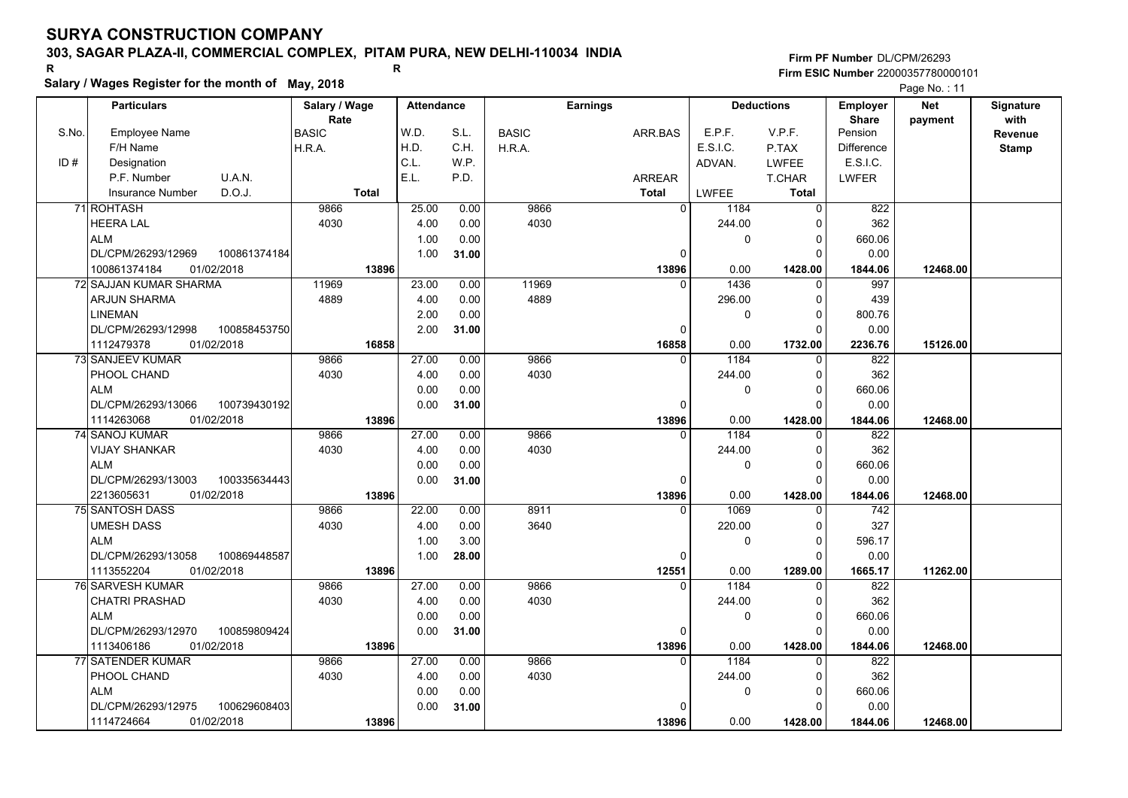# **303, SAGAR PLAZA-II, COMMERCIAL COMPLEX, PITAM PURA, NEW DELHI-110034 INDIA**

**Salary / Wages Register for the month of May, 2018 <sup>R</sup> <sup>R</sup>**

**Firm PF Number**DL/CPM/26293**Firm ESIC Number** 22000357780000101

|       | <b>Particulars</b>                 | Salary / Wage        | <b>Attendance</b> |       |              | <b>Earnings</b> |          | <b>Deductions</b> | Employer                | <b>Net</b> | Signature       |
|-------|------------------------------------|----------------------|-------------------|-------|--------------|-----------------|----------|-------------------|-------------------------|------------|-----------------|
| S.No. | <b>Employee Name</b>               | Rate<br><b>BASIC</b> | W.D.              | S.L.  | <b>BASIC</b> | ARR.BAS         | E.P.F.   | V.P.F.            | <b>Share</b><br>Pension | payment    | with<br>Revenue |
|       | F/H Name                           | H.R.A.               | H.D.              | C.H.  | H.R.A.       |                 | E.S.I.C. | P.TAX             | <b>Difference</b>       |            | <b>Stamp</b>    |
| ID#   | Designation                        |                      | C.L.              | W.P.  |              |                 | ADVAN.   | <b>LWFEE</b>      | E.S.I.C.                |            |                 |
|       | U.A.N.<br>P.F. Number              |                      | E.L.              | P.D.  |              | <b>ARREAR</b>   |          | T.CHAR            | <b>LWFER</b>            |            |                 |
|       | D.O.J.<br>Insurance Number         | <b>Total</b>         |                   |       |              | <b>Total</b>    | LWFEE    | <b>Total</b>      |                         |            |                 |
|       | 71 ROHTASH                         | 9866                 | 25.00             | 0.00  | 9866         | $\overline{0}$  | 1184     | 0                 | 822                     |            |                 |
|       | <b>HEERA LAL</b>                   | 4030                 | 4.00              | 0.00  | 4030         |                 | 244.00   | 0                 | 362                     |            |                 |
|       | <b>ALM</b>                         |                      | 1.00              | 0.00  |              |                 | 0        | 0                 | 660.06                  |            |                 |
|       | DL/CPM/26293/12969<br>100861374184 |                      | 1.00              | 31.00 |              | $\Omega$        |          | $\Omega$          | 0.00                    |            |                 |
|       | 100861374184<br>01/02/2018         | 13896                |                   |       |              | 13896           | 0.00     | 1428.00           | 1844.06                 | 12468.00   |                 |
|       | 72 SAJJAN KUMAR SHARMA             | 11969                | 23.00             | 0.00  | 11969        | $\Omega$        | 1436     | 0                 | 997                     |            |                 |
|       | ARJUN SHARMA                       | 4889                 | 4.00              | 0.00  | 4889         |                 | 296.00   | 0                 | 439                     |            |                 |
|       | <b>LINEMAN</b>                     |                      | 2.00              | 0.00  |              |                 | 0        | $\mathbf 0$       | 800.76                  |            |                 |
|       | DL/CPM/26293/12998<br>100858453750 |                      | 2.00              | 31.00 |              | $\Omega$        |          | $\Omega$          | 0.00                    |            |                 |
|       | 1112479378<br>01/02/2018           | 16858                |                   |       |              | 16858           | 0.00     | 1732.00           | 2236.76                 | 15126.00   |                 |
|       | 73 SANJEEV KUMAR                   | 9866                 | 27.00             | 0.00  | 9866         | $\Omega$        | 1184     | $\mathbf 0$       | 822                     |            |                 |
|       | PHOOL CHAND                        | 4030                 | 4.00              | 0.00  | 4030         |                 | 244.00   | 0                 | 362                     |            |                 |
|       | <b>ALM</b>                         |                      | 0.00              | 0.00  |              |                 | 0        | $\mathbf 0$       | 660.06                  |            |                 |
|       | DL/CPM/26293/13066<br>100739430192 |                      | 0.00              | 31.00 |              | O               |          | $\Omega$          | 0.00                    |            |                 |
|       | 01/02/2018<br>1114263068           | 13896                |                   |       |              | 13896           | 0.00     | 1428.00           | 1844.06                 | 12468.00   |                 |
|       | 74 SANOJ KUMAR                     | 9866                 | 27.00             | 0.00  | 9866         |                 | 1184     | 0                 | 822                     |            |                 |
|       | <b>VIJAY SHANKAR</b>               | 4030                 | 4.00              | 0.00  | 4030         |                 | 244.00   | $\mathbf 0$       | 362                     |            |                 |
|       | <b>ALM</b>                         |                      | 0.00              | 0.00  |              |                 | 0        | $\mathbf 0$       | 660.06                  |            |                 |
|       | 100335634443<br>DL/CPM/26293/13003 |                      | 0.00              | 31.00 |              | O               |          | $\Omega$          | 0.00                    |            |                 |
|       | 01/02/2018<br>2213605631           | 13896                |                   |       |              | 13896           | 0.00     | 1428.00           | 1844.06                 | 12468.00   |                 |
|       | <b>75 SANTOSH DASS</b>             | 9866                 | 22.00             | 0.00  | 8911         | $\Omega$        | 1069     | $\Omega$          | 742                     |            |                 |
|       | <b>UMESH DASS</b>                  | 4030                 | 4.00              | 0.00  | 3640         |                 | 220.00   | 0                 | 327                     |            |                 |
|       | <b>ALM</b>                         |                      | 1.00              | 3.00  |              |                 | 0        | $\mathbf 0$       | 596.17                  |            |                 |
|       | DL/CPM/26293/13058<br>100869448587 |                      | 1.00              | 28.00 |              | $\Omega$        |          | $\mathbf 0$       | 0.00                    |            |                 |
|       | 1113552204<br>01/02/2018           | 13896                |                   |       |              | 12551           | 0.00     | 1289.00           | 1665.17                 | 11262.00   |                 |
|       | 76 SARVESH KUMAR                   | 9866                 | 27.00             | 0.00  | 9866         | $\Omega$        | 1184     | $\mathbf 0$       | 822                     |            |                 |
|       | <b>CHATRI PRASHAD</b>              | 4030                 | 4.00              | 0.00  | 4030         |                 | 244.00   | 0                 | 362                     |            |                 |
|       | <b>ALM</b>                         |                      | 0.00              | 0.00  |              |                 | 0        | 0                 | 660.06                  |            |                 |
|       | DL/CPM/26293/12970<br>100859809424 |                      | 0.00              | 31.00 |              | 0               |          | $\Omega$          | 0.00                    |            |                 |
|       | 1113406186<br>01/02/2018           | 13896                |                   |       |              | 13896           | 0.00     | 1428.00           | 1844.06                 | 12468.00   |                 |
|       | 77 SATENDER KUMAR                  | 9866                 | 27.00             | 0.00  | 9866         | $\Omega$        | 1184     | $\Omega$          | 822                     |            |                 |
|       | PHOOL CHAND                        | 4030                 | 4.00              | 0.00  | 4030         |                 | 244.00   | 0                 | 362                     |            |                 |
|       | <b>ALM</b>                         |                      | 0.00              | 0.00  |              |                 | 0        | $\mathbf 0$       | 660.06                  |            |                 |
|       | DL/CPM/26293/12975<br>100629608403 |                      | 0.00              | 31.00 |              | n               |          | $\Omega$          | 0.00                    |            |                 |
|       | 01/02/2018<br>1114724664           | 13896                |                   |       |              | 13896           | 0.00     | 1428.00           | 1844.06                 | 12468.00   |                 |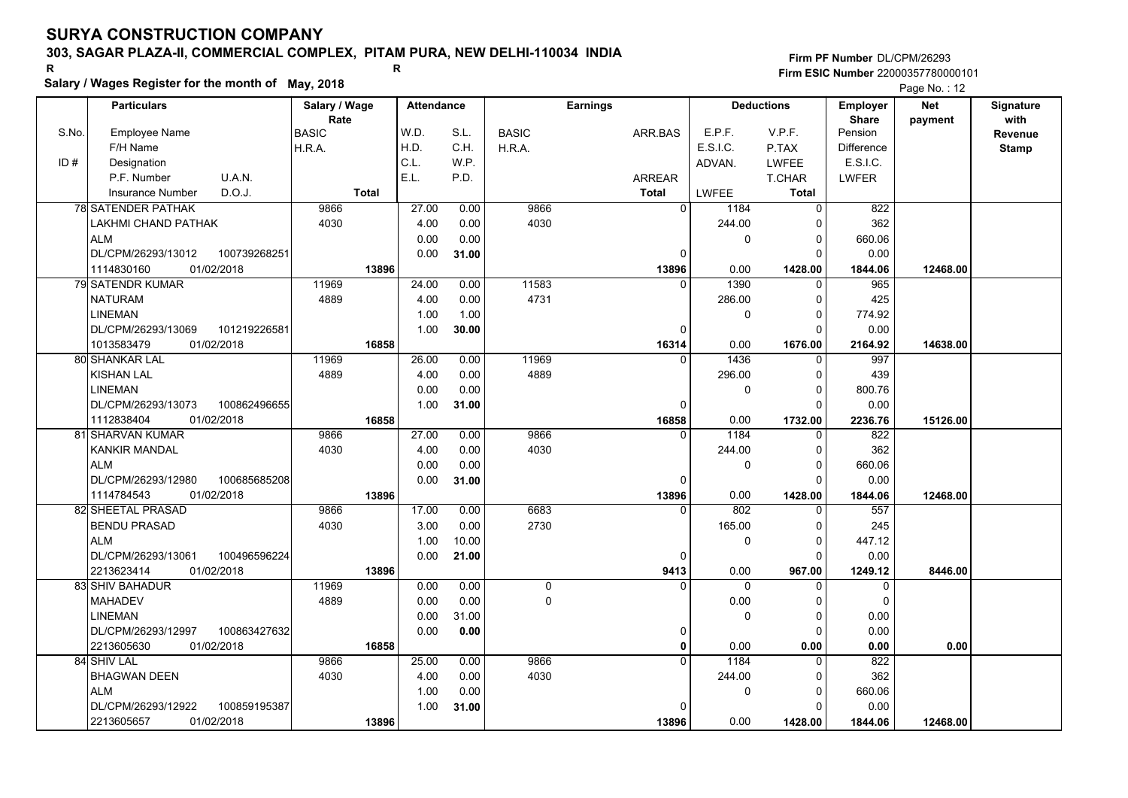# **303, SAGAR PLAZA-II, COMMERCIAL COMPLEX, PITAM PURA, NEW DELHI-110034 INDIA**

**Salary / Wages Register for the month of May, 2018 <sup>R</sup> <sup>R</sup>**

**Firm PF Number**DL/CPM/26293**Firm ESIC Number** 22000357780000101

|       | <b>Particulars</b>                 | Salary / Wage | <b>Attendance</b> |       |              | <b>Earnings</b> |                        | <b>Deductions</b> |                         | <b>Net</b> | Signature    |
|-------|------------------------------------|---------------|-------------------|-------|--------------|-----------------|------------------------|-------------------|-------------------------|------------|--------------|
| S.No. |                                    | Rate          | W.D.              | S.L.  |              |                 | E.P.F.                 | V.P.F.            | <b>Share</b><br>Pension | payment    | with         |
|       | <b>Employee Name</b>               | <b>BASIC</b>  | H.D.              | C.H.  | <b>BASIC</b> | ARR.BAS         | E.S.I.C.               |                   |                         |            | Revenue      |
|       | F/H Name                           | H.R.A.        | C.L.              |       | H.R.A.       |                 |                        | P.TAX             | <b>Difference</b>       |            | <b>Stamp</b> |
| ID#   | Designation                        |               | E.L.              | W.P.  |              |                 | ADVAN.                 | <b>LWFEE</b>      | E.S.I.C.                |            |              |
|       | P.F. Number<br>U.A.N.              |               |                   | P.D.  |              | <b>ARREAR</b>   |                        | T.CHAR            | LWFER                   |            |              |
|       | D.O.J.<br>Insurance Number         | <b>Total</b>  |                   |       |              | <b>Total</b>    | <b>LWFEE</b>           | Total             |                         |            |              |
|       | 78 SATENDER PATHAK                 | 9866          | 27.00             | 0.00  | 9866         |                 | $\overline{0}$<br>1184 | $\mathbf 0$       | 822                     |            |              |
|       | LAKHMI CHAND PATHAK                | 4030          | 4.00              | 0.00  | 4030         |                 | 244.00                 | 0                 | 362                     |            |              |
|       | <b>ALM</b>                         |               | 0.00              | 0.00  |              |                 | 0                      | $\Omega$          | 660.06                  |            |              |
|       | DL/CPM/26293/13012<br>100739268251 |               | 0.00              | 31.00 |              |                 | $\Omega$               | $\Omega$          | 0.00                    |            |              |
|       | 1114830160<br>01/02/2018           | 13896         |                   |       |              | 13896           | 0.00                   | 1428.00           | 1844.06                 | 12468.00   |              |
|       | 79 SATENDR KUMAR                   | 11969         | 24.00             | 0.00  | 11583        |                 | 1390<br>0              | $\mathbf 0$       | 965                     |            |              |
|       | <b>NATURAM</b>                     | 4889          | 4.00              | 0.00  | 4731         |                 | 286.00                 | 0                 | 425                     |            |              |
|       | <b>LINEMAN</b>                     |               | 1.00              | 1.00  |              |                 | 0                      | $\mathbf 0$       | 774.92                  |            |              |
|       | DL/CPM/26293/13069<br>101219226581 |               | 1.00              | 30.00 |              |                 | $\Omega$               | $\Omega$          | 0.00                    |            |              |
|       | 1013583479<br>01/02/2018           | 16858         |                   |       |              | 16314           | 0.00                   | 1676.00           | 2164.92                 | 14638.00   |              |
|       | 80 SHANKAR LAL                     | 11969         | 26.00             | 0.00  | 11969        |                 | 1436<br>$\Omega$       | 0                 | 997                     |            |              |
|       | <b>KISHAN LAL</b>                  | 4889          | 4.00              | 0.00  | 4889         |                 | 296.00                 | $\mathbf 0$       | 439                     |            |              |
|       | <b>LINEMAN</b>                     |               | 0.00              | 0.00  |              |                 | 0                      | $\mathbf 0$       | 800.76                  |            |              |
|       | DL/CPM/26293/13073<br>100862496655 |               | 1.00              | 31.00 |              |                 | $\Omega$               | $\Omega$          | 0.00                    |            |              |
|       | 1112838404<br>01/02/2018           | 16858         |                   |       |              | 16858           | 0.00                   | 1732.00           | 2236.76                 | 15126.00   |              |
|       | 81 SHARVAN KUMAR                   | 9866          | 27.00             | 0.00  | 9866         |                 | 1184<br>$\Omega$       | $\mathbf{0}$      | 822                     |            |              |
|       | <b>KANKIR MANDAL</b>               | 4030          | 4.00              | 0.00  | 4030         |                 | 244.00                 | 0                 | 362                     |            |              |
|       | <b>ALM</b>                         |               | 0.00              | 0.00  |              |                 | 0                      | $\mathbf 0$       | 660.06                  |            |              |
|       | DL/CPM/26293/12980<br>100685685208 |               | 0.00              | 31.00 |              |                 | 0                      | $\Omega$          | 0.00                    |            |              |
|       | 1114784543<br>01/02/2018           | 13896         |                   |       |              | 13896           | 0.00                   | 1428.00           | 1844.06                 | 12468.00   |              |
|       | 82 SHEETAL PRASAD                  | 9866          | 17.00             | 0.00  | 6683         |                 | 802<br>$\Omega$        | $\Omega$          | 557                     |            |              |
|       | <b>BENDU PRASAD</b>                | 4030          | 3.00              | 0.00  | 2730         |                 | 165.00                 | 0                 | 245                     |            |              |
|       | <b>ALM</b>                         |               | 1.00              | 10.00 |              |                 | 0                      | $\pmb{0}$         | 447.12                  |            |              |
|       | DL/CPM/26293/13061<br>100496596224 |               | 0.00              | 21.00 |              |                 | $\Omega$               | $\Omega$          | 0.00                    |            |              |
|       | 01/02/2018<br>2213623414           | 13896         |                   |       |              | 9413            | 0.00                   | 967.00            | 1249.12                 | 8446.00    |              |
|       | 83 SHIV BAHADUR                    | 11969         | 0.00              | 0.00  | 0            |                 | $\Omega$               | $\Omega$          | $\Omega$                |            |              |
|       | <b>MAHADEV</b>                     | 4889          | 0.00              | 0.00  | 0            |                 | 0.00                   | $\Omega$          | $\Omega$                |            |              |
|       | <b>LINEMAN</b>                     |               | 0.00              | 31.00 |              |                 | 0                      | $\mathbf 0$       | 0.00                    |            |              |
|       | DL/CPM/26293/12997<br>100863427632 |               | 0.00              | 0.00  |              |                 | 0                      | $\Omega$          | 0.00                    |            |              |
|       | 2213605630<br>01/02/2018           | 16858         |                   |       |              |                 | 0.00<br>0              | 0.00              | 0.00                    | 0.00       |              |
|       | 84 SHIV LAL                        | 9866          | 25.00             | 0.00  | 9866         |                 | 1184<br>$\Omega$       | $\mathbf 0$       | 822                     |            |              |
|       | <b>BHAGWAN DEEN</b>                | 4030          | 4.00              | 0.00  | 4030         |                 | 244.00                 | 0                 | 362                     |            |              |
|       | <b>ALM</b>                         |               | 1.00              | 0.00  |              |                 | 0                      | $\mathbf 0$       | 660.06                  |            |              |
|       | DL/CPM/26293/12922<br>100859195387 |               | 1.00              | 31.00 |              |                 | U                      | $\Omega$          | 0.00                    |            |              |
|       | 2213605657<br>01/02/2018           | 13896         |                   |       |              | 13896           | 0.00                   | 1428.00           | 1844.06                 | 12468.00   |              |
|       |                                    |               |                   |       |              |                 |                        |                   |                         |            |              |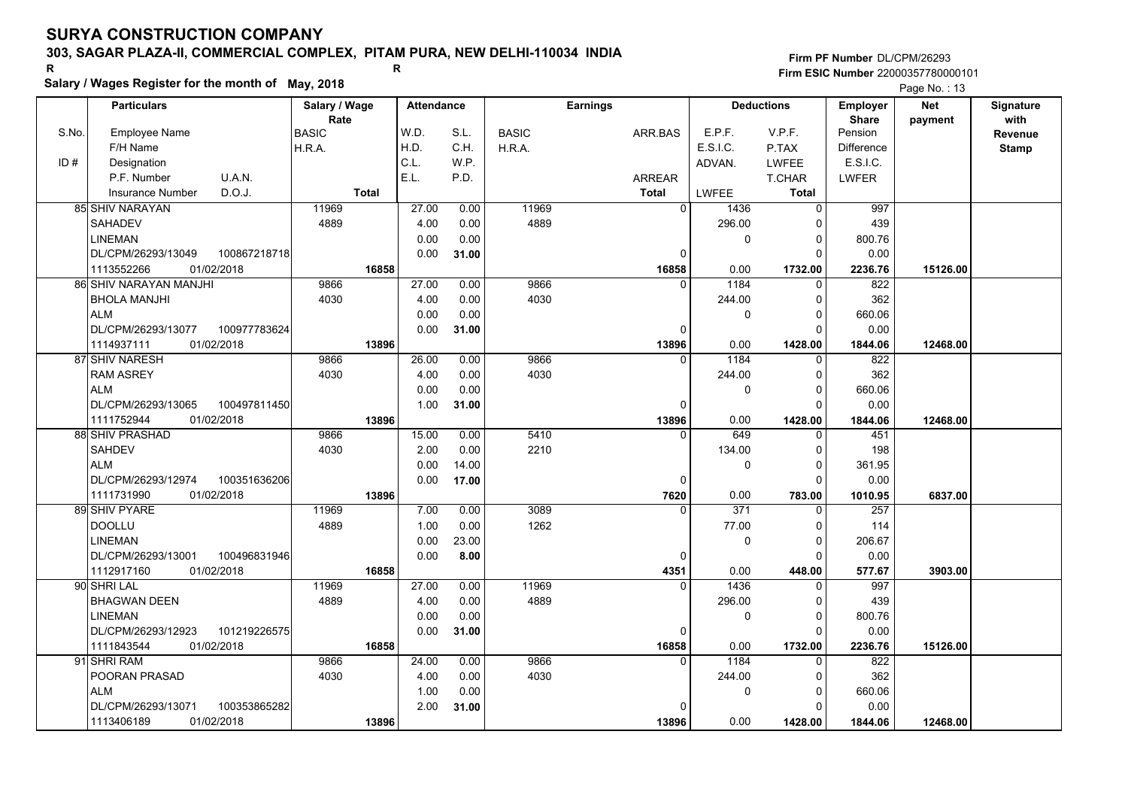# **303, SAGAR PLAZA-II, COMMERCIAL COMPLEX, PITAM PURA, NEW DELHI-110034 INDIA**

**Salary / Wages Register for the month of May, 2018 <sup>R</sup> <sup>R</sup>**

**Firm PF Number**DL/CPM/26293**Firm ESIC Number** 22000357780000101

|       | <b>Particulars</b>                 | Salary / Wage        | <b>Attendance</b> |       |              | <b>Earnings</b> | <b>Deductions</b>            |              | <b>Employer</b>         | <b>Net</b> | Signature<br>with |
|-------|------------------------------------|----------------------|-------------------|-------|--------------|-----------------|------------------------------|--------------|-------------------------|------------|-------------------|
| S.No. | Employee Name                      | Rate<br><b>BASIC</b> | W.D.              | S.L.  | <b>BASIC</b> | ARR.BAS         | E.P.F.                       | V.P.F.       | <b>Share</b><br>Pension | payment    | Revenue           |
|       | F/H Name                           | H.R.A.               | H.D.              | C.H.  | H.R.A.       |                 | E.S.I.C.                     | P.TAX        | <b>Difference</b>       |            | <b>Stamp</b>      |
| ID#   | Designation                        |                      | C.L.              | W.P.  |              |                 | ADVAN.                       | <b>LWFEE</b> | E.S.I.C.                |            |                   |
|       | U.A.N.<br>P.F. Number              |                      | E.L.              | P.D.  |              | ARREAR          |                              | T.CHAR       | <b>LWFER</b>            |            |                   |
|       | D.O.J.<br><b>Insurance Number</b>  | <b>Total</b>         |                   |       |              | <b>Total</b>    | <b>LWFEE</b>                 | Total        |                         |            |                   |
|       | 85 SHIV NARAYAN                    | 11969                | 27.00             | 0.00  | 11969        |                 | $\overline{0}$<br>1436       | 0            | 997                     |            |                   |
|       | <b>SAHADEV</b>                     | 4889                 | 4.00              | 0.00  | 4889         |                 | 296.00                       | $\Omega$     | 439                     |            |                   |
|       | <b>LINEMAN</b>                     |                      | 0.00              | 0.00  |              |                 | 0                            | $\Omega$     | 800.76                  |            |                   |
|       | DL/CPM/26293/13049<br>100867218718 |                      | 0.00              | 31.00 |              |                 | $\Omega$                     | $\Omega$     | 0.00                    |            |                   |
|       | 01/02/2018<br>1113552266           | 16858                |                   |       |              | 16858           | 0.00                         | 1732.00      | 2236.76                 | 15126.00   |                   |
|       | 86 SHIV NARAYAN MANJHI             | 9866                 | 27.00             | 0.00  | 9866         |                 | 1184<br>$\Omega$             | $\Omega$     | 822                     |            |                   |
|       | <b>BHOLA MANJHI</b>                | 4030                 | 4.00              | 0.00  | 4030         |                 | 244.00                       | $\Omega$     | 362                     |            |                   |
|       | <b>ALM</b>                         |                      | 0.00              | 0.00  |              |                 | 0                            | $\Omega$     | 660.06                  |            |                   |
|       | DL/CPM/26293/13077<br>100977783624 |                      | 0.00              | 31.00 |              |                 | $\Omega$                     | $\Omega$     | 0.00                    |            |                   |
|       | 01/02/2018<br>1114937111           | 13896                |                   |       |              | 13896           | 0.00                         | 1428.00      | 1844.06                 | 12468.00   |                   |
|       | 87 SHIV NARESH                     | 9866                 | 26.00             | 0.00  | 9866         |                 | 1184<br>0                    | $\Omega$     | 822                     |            |                   |
|       | <b>RAM ASREY</b>                   | 4030                 | 4.00              | 0.00  | 4030         |                 | 244.00                       | $\Omega$     | 362                     |            |                   |
|       | <b>ALM</b>                         |                      | 0.00              | 0.00  |              |                 | 0                            | $\Omega$     | 660.06                  |            |                   |
|       | DL/CPM/26293/13065<br>100497811450 |                      | 1.00              | 31.00 |              |                 | $\Omega$                     | $\Omega$     | 0.00                    |            |                   |
|       | 1111752944<br>01/02/2018           | 13896                |                   |       |              | 13896           | 0.00                         | 1428.00      | 1844.06                 | 12468.00   |                   |
|       | 88 SHIV PRASHAD                    | 9866                 | 15.00             | 0.00  | 5410         |                 | 649<br>$\Omega$              | $\Omega$     | 451                     |            |                   |
|       | <b>SAHDEV</b>                      | 4030                 | 2.00              | 0.00  | 2210         |                 | 134.00                       | $\Omega$     | 198                     |            |                   |
|       | <b>ALM</b>                         |                      | 0.00              | 14.00 |              |                 | 0                            | $\Omega$     | 361.95                  |            |                   |
|       | DL/CPM/26293/12974<br>100351636206 |                      | 0.00              | 17.00 |              |                 | 0                            | $\Omega$     | 0.00                    |            |                   |
|       | 1111731990<br>01/02/2018           | 13896                |                   |       |              | 7620            | 0.00                         | 783.00       | 1010.95                 | 6837.00    |                   |
|       | 89 SHIV PYARE                      | 11969                | 7.00              | 0.00  | 3089         |                 | $\overline{371}$<br>$\Omega$ | $\Omega$     | 257                     |            |                   |
|       | <b>DOOLLU</b>                      | 4889                 | 1.00              | 0.00  | 1262         |                 | 77.00                        | $\Omega$     | 114                     |            |                   |
|       | <b>LINEMAN</b>                     |                      | 0.00              | 23.00 |              |                 | 0                            | $\mathbf 0$  | 206.67                  |            |                   |
|       | 100496831946<br>DL/CPM/26293/13001 |                      | 0.00              | 8.00  |              |                 | 0                            | $\Omega$     | 0.00                    |            |                   |
|       | 01/02/2018<br>1112917160           | 16858                |                   |       |              | 4351            | 0.00                         | 448.00       | 577.67                  | 3903.00    |                   |
|       | 90 SHRI LAL                        | 11969                | 27.00             | 0.00  | 11969        |                 | 1436                         | $\Omega$     | 997                     |            |                   |
|       | <b>BHAGWAN DEEN</b>                | 4889                 | 4.00              | 0.00  | 4889         |                 | 296.00                       | 0            | 439                     |            |                   |
|       | <b>LINEMAN</b>                     |                      | 0.00              | 0.00  |              |                 | 0                            | $\Omega$     | 800.76                  |            |                   |
|       | 101219226575<br>DL/CPM/26293/12923 |                      | 0.00              | 31.00 |              |                 | 0                            | $\Omega$     | 0.00                    |            |                   |
|       | 1111843544<br>01/02/2018           | 16858                |                   |       |              | 16858           | 0.00                         | 1732.00      | 2236.76                 | 15126.00   |                   |
|       | 91 SHRI RAM                        | 9866                 | 24.00             | 0.00  | 9866         |                 | 1184<br>$\Omega$             | $\Omega$     | 822                     |            |                   |
|       | POORAN PRASAD                      | 4030                 | 4.00              | 0.00  | 4030         |                 | 244.00                       | 0            | 362                     |            |                   |
|       | <b>ALM</b>                         |                      | 1.00              | 0.00  |              |                 | 0                            | $\Omega$     | 660.06                  |            |                   |
|       | DL/CPM/26293/13071<br>100353865282 |                      | 2.00              | 31.00 |              |                 | <sup>0</sup>                 | $\Omega$     | 0.00                    |            |                   |
|       | 1113406189<br>01/02/2018           | 13896                |                   |       |              | 13896           | 0.00                         | 1428.00      | 1844.06                 | 12468.00   |                   |